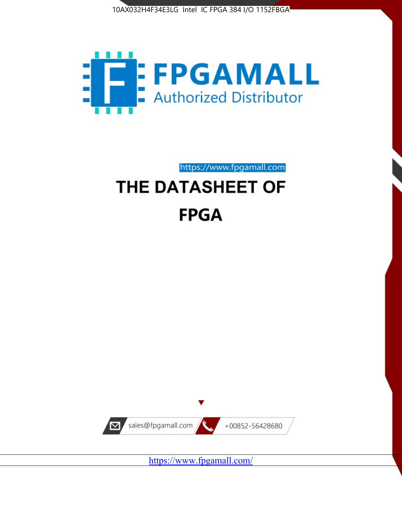



https://www.fpgamall.com THE DATASHEET OF

# **FPGA**



<https://www.fpgamall.com/>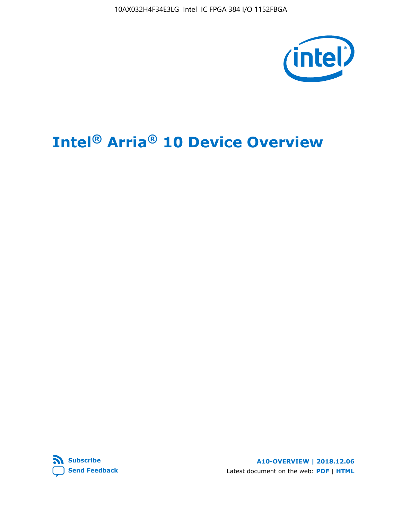10AX032H4F34E3LG Intel IC FPGA 384 I/O 1152FBGA



# **Intel® Arria® 10 Device Overview**



**A10-OVERVIEW | 2018.12.06** Latest document on the web: **[PDF](https://www.intel.com/content/dam/www/programmable/us/en/pdfs/literature/hb/arria-10/a10_overview.pdf)** | **[HTML](https://www.intel.com/content/www/us/en/programmable/documentation/sam1403480274650.html)**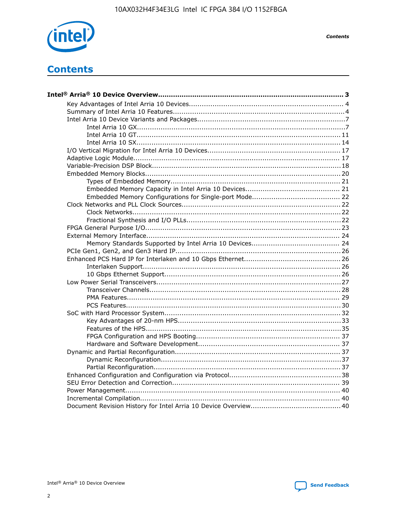

**Contents** 

# **Contents**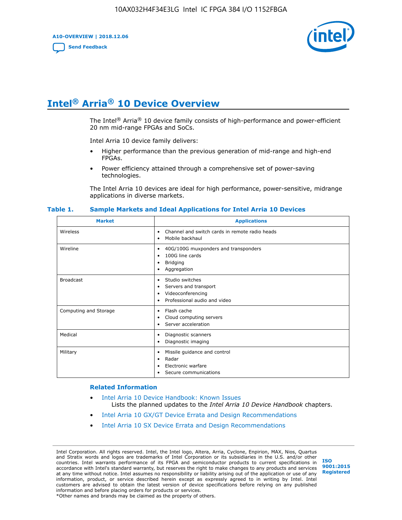**A10-OVERVIEW | 2018.12.06**

**[Send Feedback](mailto:FPGAtechdocfeedback@intel.com?subject=Feedback%20on%20Intel%20Arria%2010%20Device%20Overview%20(A10-OVERVIEW%202018.12.06)&body=We%20appreciate%20your%20feedback.%20In%20your%20comments,%20also%20specify%20the%20page%20number%20or%20paragraph.%20Thank%20you.)**



# **Intel® Arria® 10 Device Overview**

The Intel<sup>®</sup> Arria<sup>®</sup> 10 device family consists of high-performance and power-efficient 20 nm mid-range FPGAs and SoCs.

Intel Arria 10 device family delivers:

- Higher performance than the previous generation of mid-range and high-end FPGAs.
- Power efficiency attained through a comprehensive set of power-saving technologies.

The Intel Arria 10 devices are ideal for high performance, power-sensitive, midrange applications in diverse markets.

| <b>Market</b>         | <b>Applications</b>                                                                                               |
|-----------------------|-------------------------------------------------------------------------------------------------------------------|
| Wireless              | Channel and switch cards in remote radio heads<br>٠<br>Mobile backhaul<br>٠                                       |
| Wireline              | 40G/100G muxponders and transponders<br>٠<br>100G line cards<br>٠<br><b>Bridging</b><br>٠<br>Aggregation<br>٠     |
| <b>Broadcast</b>      | Studio switches<br>٠<br>Servers and transport<br>٠<br>Videoconferencing<br>٠<br>Professional audio and video<br>٠ |
| Computing and Storage | Flash cache<br>٠<br>Cloud computing servers<br>٠<br>Server acceleration<br>٠                                      |
| Medical               | Diagnostic scanners<br>٠<br>Diagnostic imaging<br>٠                                                               |
| Military              | Missile guidance and control<br>٠<br>Radar<br>٠<br>Electronic warfare<br>٠<br>Secure communications<br>٠          |

#### **Table 1. Sample Markets and Ideal Applications for Intel Arria 10 Devices**

#### **Related Information**

- [Intel Arria 10 Device Handbook: Known Issues](http://www.altera.com/support/kdb/solutions/rd07302013_646.html) Lists the planned updates to the *Intel Arria 10 Device Handbook* chapters.
- [Intel Arria 10 GX/GT Device Errata and Design Recommendations](https://www.intel.com/content/www/us/en/programmable/documentation/agz1493851706374.html#yqz1494433888646)
- [Intel Arria 10 SX Device Errata and Design Recommendations](https://www.intel.com/content/www/us/en/programmable/documentation/cru1462832385668.html#cru1462832558642)

Intel Corporation. All rights reserved. Intel, the Intel logo, Altera, Arria, Cyclone, Enpirion, MAX, Nios, Quartus and Stratix words and logos are trademarks of Intel Corporation or its subsidiaries in the U.S. and/or other countries. Intel warrants performance of its FPGA and semiconductor products to current specifications in accordance with Intel's standard warranty, but reserves the right to make changes to any products and services at any time without notice. Intel assumes no responsibility or liability arising out of the application or use of any information, product, or service described herein except as expressly agreed to in writing by Intel. Intel customers are advised to obtain the latest version of device specifications before relying on any published information and before placing orders for products or services. \*Other names and brands may be claimed as the property of others.

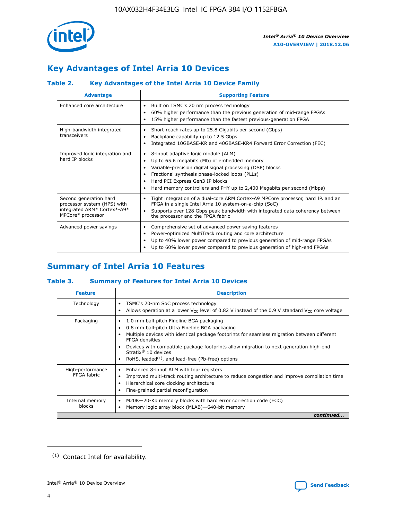

# **Key Advantages of Intel Arria 10 Devices**

## **Table 2. Key Advantages of the Intel Arria 10 Device Family**

| <b>Advantage</b>                                                                                          | <b>Supporting Feature</b>                                                                                                                                                                                                                                                                                                |
|-----------------------------------------------------------------------------------------------------------|--------------------------------------------------------------------------------------------------------------------------------------------------------------------------------------------------------------------------------------------------------------------------------------------------------------------------|
| Enhanced core architecture                                                                                | Built on TSMC's 20 nm process technology<br>٠<br>60% higher performance than the previous generation of mid-range FPGAs<br>٠<br>15% higher performance than the fastest previous-generation FPGA<br>٠                                                                                                                    |
| High-bandwidth integrated<br>transceivers                                                                 | Short-reach rates up to 25.8 Gigabits per second (Gbps)<br>٠<br>Backplane capability up to 12.5 Gbps<br>٠<br>Integrated 10GBASE-KR and 40GBASE-KR4 Forward Error Correction (FEC)<br>٠                                                                                                                                   |
| Improved logic integration and<br>hard IP blocks                                                          | 8-input adaptive logic module (ALM)<br>٠<br>Up to 65.6 megabits (Mb) of embedded memory<br>٠<br>Variable-precision digital signal processing (DSP) blocks<br>Fractional synthesis phase-locked loops (PLLs)<br>Hard PCI Express Gen3 IP blocks<br>Hard memory controllers and PHY up to 2,400 Megabits per second (Mbps) |
| Second generation hard<br>processor system (HPS) with<br>integrated ARM* Cortex*-A9*<br>MPCore* processor | Tight integration of a dual-core ARM Cortex-A9 MPCore processor, hard IP, and an<br>٠<br>FPGA in a single Intel Arria 10 system-on-a-chip (SoC)<br>Supports over 128 Gbps peak bandwidth with integrated data coherency between<br>$\bullet$<br>the processor and the FPGA fabric                                        |
| Advanced power savings                                                                                    | Comprehensive set of advanced power saving features<br>٠<br>Power-optimized MultiTrack routing and core architecture<br>٠<br>Up to 40% lower power compared to previous generation of mid-range FPGAs<br>٠<br>Up to 60% lower power compared to previous generation of high-end FPGAs                                    |

# **Summary of Intel Arria 10 Features**

### **Table 3. Summary of Features for Intel Arria 10 Devices**

| <b>Feature</b>                  | <b>Description</b>                                                                                                                                                                                                                                                                                                                                                                                           |
|---------------------------------|--------------------------------------------------------------------------------------------------------------------------------------------------------------------------------------------------------------------------------------------------------------------------------------------------------------------------------------------------------------------------------------------------------------|
| Technology                      | TSMC's 20-nm SoC process technology<br>٠<br>Allows operation at a lower $V_{CC}$ level of 0.82 V instead of the 0.9 V standard $V_{CC}$ core voltage                                                                                                                                                                                                                                                         |
| Packaging                       | 1.0 mm ball-pitch Fineline BGA packaging<br>٠<br>0.8 mm ball-pitch Ultra Fineline BGA packaging<br>Multiple devices with identical package footprints for seamless migration between different<br><b>FPGA</b> densities<br>Devices with compatible package footprints allow migration to next generation high-end<br>Stratix <sup>®</sup> 10 devices<br>RoHS, leaded $(1)$ , and lead-free (Pb-free) options |
| High-performance<br>FPGA fabric | Enhanced 8-input ALM with four registers<br>Improved multi-track routing architecture to reduce congestion and improve compilation time<br>Hierarchical core clocking architecture<br>Fine-grained partial reconfiguration                                                                                                                                                                                   |
| Internal memory<br>blocks       | M20K-20-Kb memory blocks with hard error correction code (ECC)<br>٠<br>Memory logic array block (MLAB)-640-bit memory                                                                                                                                                                                                                                                                                        |
|                                 | continued                                                                                                                                                                                                                                                                                                                                                                                                    |



<sup>(1)</sup> Contact Intel for availability.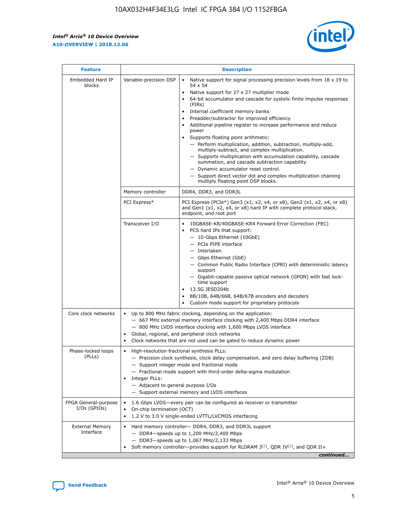r



| <b>Feature</b>                         |                                                                                                        | <b>Description</b>                                                                                                                                                                                                                                                                                                                                                                                                                                                                                                                                                                                                                                                                                                                                                                                                                                               |
|----------------------------------------|--------------------------------------------------------------------------------------------------------|------------------------------------------------------------------------------------------------------------------------------------------------------------------------------------------------------------------------------------------------------------------------------------------------------------------------------------------------------------------------------------------------------------------------------------------------------------------------------------------------------------------------------------------------------------------------------------------------------------------------------------------------------------------------------------------------------------------------------------------------------------------------------------------------------------------------------------------------------------------|
| Embedded Hard IP<br>blocks             | Variable-precision DSP                                                                                 | Native support for signal processing precision levels from $18 \times 19$ to<br>$\bullet$<br>54 x 54<br>Native support for 27 x 27 multiplier mode<br>$\bullet$<br>64-bit accumulator and cascade for systolic finite impulse responses<br>(FIRs)<br>Internal coefficient memory banks<br>$\bullet$<br>Preadder/subtractor for improved efficiency<br>Additional pipeline register to increase performance and reduce<br>power<br>Supports floating point arithmetic:<br>- Perform multiplication, addition, subtraction, multiply-add,<br>multiply-subtract, and complex multiplication.<br>- Supports multiplication with accumulation capability, cascade<br>summation, and cascade subtraction capability.<br>- Dynamic accumulator reset control.<br>- Support direct vector dot and complex multiplication chaining<br>multiply floating point DSP blocks. |
|                                        | Memory controller                                                                                      | DDR4, DDR3, and DDR3L                                                                                                                                                                                                                                                                                                                                                                                                                                                                                                                                                                                                                                                                                                                                                                                                                                            |
|                                        | PCI Express*                                                                                           | PCI Express (PCIe*) Gen3 (x1, x2, x4, or x8), Gen2 (x1, x2, x4, or x8)<br>and Gen1 (x1, x2, x4, or x8) hard IP with complete protocol stack,<br>endpoint, and root port                                                                                                                                                                                                                                                                                                                                                                                                                                                                                                                                                                                                                                                                                          |
|                                        | Transceiver I/O                                                                                        | $\bullet$<br>10GBASE-KR/40GBASE-KR4 Forward Error Correction (FEC)<br>PCS hard IPs that support:<br>$\bullet$<br>- 10-Gbps Ethernet (10GbE)<br>- PCIe PIPE interface<br>- Interlaken<br>- Gbps Ethernet (GbE)<br>- Common Public Radio Interface (CPRI) with deterministic latency<br>support<br>- Gigabit-capable passive optical network (GPON) with fast lock-<br>time support<br>13.5G JESD204b<br>$\bullet$<br>8B/10B, 64B/66B, 64B/67B encoders and decoders<br>Custom mode support for proprietary protocols                                                                                                                                                                                                                                                                                                                                              |
| Core clock networks                    | ٠<br>٠                                                                                                 | Up to 800 MHz fabric clocking, depending on the application:<br>- 667 MHz external memory interface clocking with 2,400 Mbps DDR4 interface<br>- 800 MHz LVDS interface clocking with 1,600 Mbps LVDS interface<br>Global, regional, and peripheral clock networks<br>Clock networks that are not used can be gated to reduce dynamic power                                                                                                                                                                                                                                                                                                                                                                                                                                                                                                                      |
| Phase-locked loops<br>(PLLs)           | High-resolution fractional synthesis PLLs:<br>٠<br>Integer PLLs:<br>- Adjacent to general purpose I/Os | - Precision clock synthesis, clock delay compensation, and zero delay buffering (ZDB)<br>- Support integer mode and fractional mode<br>- Fractional mode support with third-order delta-sigma modulation<br>- Support external memory and LVDS interfaces                                                                                                                                                                                                                                                                                                                                                                                                                                                                                                                                                                                                        |
| FPGA General-purpose<br>$I/Os$ (GPIOs) | On-chip termination (OCT)                                                                              | 1.6 Gbps LVDS-every pair can be configured as receiver or transmitter<br>1.2 V to 3.0 V single-ended LVTTL/LVCMOS interfacing                                                                                                                                                                                                                                                                                                                                                                                                                                                                                                                                                                                                                                                                                                                                    |
| <b>External Memory</b><br>Interface    |                                                                                                        | Hard memory controller- DDR4, DDR3, and DDR3L support<br>- DDR4-speeds up to 1,200 MHz/2,400 Mbps<br>- DDR3-speeds up to 1,067 MHz/2,133 Mbps<br>Soft memory controller—provides support for RLDRAM $3^{(2)}$ , QDR IV $^{(2)}$ , and QDR II+<br>continued                                                                                                                                                                                                                                                                                                                                                                                                                                                                                                                                                                                                       |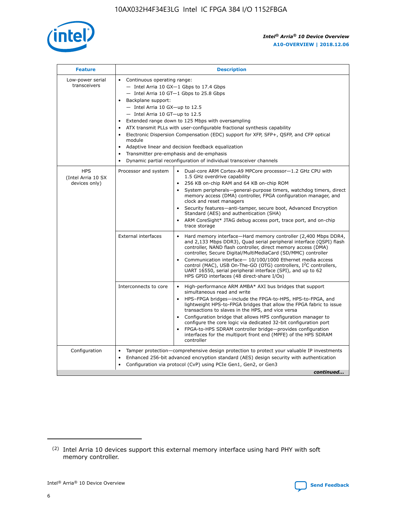

| <b>Feature</b>                                    | <b>Description</b>                                                                                                                                                                                                                                                                                                                                                                                                                                                                                                                                                                                                                                      |  |  |  |  |  |  |  |  |
|---------------------------------------------------|---------------------------------------------------------------------------------------------------------------------------------------------------------------------------------------------------------------------------------------------------------------------------------------------------------------------------------------------------------------------------------------------------------------------------------------------------------------------------------------------------------------------------------------------------------------------------------------------------------------------------------------------------------|--|--|--|--|--|--|--|--|
| Low-power serial<br>transceivers                  | • Continuous operating range:<br>- Intel Arria 10 GX-1 Gbps to 17.4 Gbps<br>- Intel Arria 10 GT-1 Gbps to 25.8 Gbps<br>Backplane support:<br>$-$ Intel Arria 10 GX-up to 12.5<br>- Intel Arria 10 GT-up to 12.5<br>Extended range down to 125 Mbps with oversampling<br>ATX transmit PLLs with user-configurable fractional synthesis capability<br>• Electronic Dispersion Compensation (EDC) support for XFP, SFP+, QSFP, and CFP optical<br>module<br>Adaptive linear and decision feedback equalization<br>$\bullet$<br>Transmitter pre-emphasis and de-emphasis<br>$\bullet$<br>Dynamic partial reconfiguration of individual transceiver channels |  |  |  |  |  |  |  |  |
| <b>HPS</b><br>(Intel Arria 10 SX<br>devices only) | Processor and system<br>Dual-core ARM Cortex-A9 MPCore processor-1.2 GHz CPU with<br>$\bullet$<br>1.5 GHz overdrive capability<br>• 256 KB on-chip RAM and 64 KB on-chip ROM<br>System peripherals-general-purpose timers, watchdog timers, direct<br>memory access (DMA) controller, FPGA configuration manager, and<br>clock and reset managers<br>• Security features—anti-tamper, secure boot, Advanced Encryption<br>Standard (AES) and authentication (SHA)<br>ARM CoreSight* JTAG debug access port, trace port, and on-chip<br>trace storage                                                                                                    |  |  |  |  |  |  |  |  |
|                                                   | <b>External interfaces</b><br>Hard memory interface—Hard memory controller (2,400 Mbps DDR4,<br>$\bullet$<br>and 2,133 Mbps DDR3), Quad serial peripheral interface (QSPI) flash<br>controller, NAND flash controller, direct memory access (DMA)<br>controller, Secure Digital/MultiMediaCard (SD/MMC) controller<br>Communication interface-10/100/1000 Ethernet media access<br>control (MAC), USB On-The-GO (OTG) controllers, I <sup>2</sup> C controllers,<br>UART 16550, serial peripheral interface (SPI), and up to 62<br>HPS GPIO interfaces (48 direct-share I/Os)                                                                           |  |  |  |  |  |  |  |  |
|                                                   | High-performance ARM AMBA* AXI bus bridges that support<br>Interconnects to core<br>$\bullet$<br>simultaneous read and write<br>HPS-FPGA bridges—include the FPGA-to-HPS, HPS-to-FPGA, and<br>lightweight HPS-to-FPGA bridges that allow the FPGA fabric to issue<br>transactions to slaves in the HPS, and vice versa<br>Configuration bridge that allows HPS configuration manager to<br>configure the core logic via dedicated 32-bit configuration port<br>FPGA-to-HPS SDRAM controller bridge-provides configuration<br>interfaces for the multiport front end (MPFE) of the HPS SDRAM<br>controller                                               |  |  |  |  |  |  |  |  |
| Configuration                                     | Tamper protection—comprehensive design protection to protect your valuable IP investments<br>Enhanced 256-bit advanced encryption standard (AES) design security with authentication<br>٠<br>Configuration via protocol (CvP) using PCIe Gen1, Gen2, or Gen3<br>continued                                                                                                                                                                                                                                                                                                                                                                               |  |  |  |  |  |  |  |  |

<sup>(2)</sup> Intel Arria 10 devices support this external memory interface using hard PHY with soft memory controller.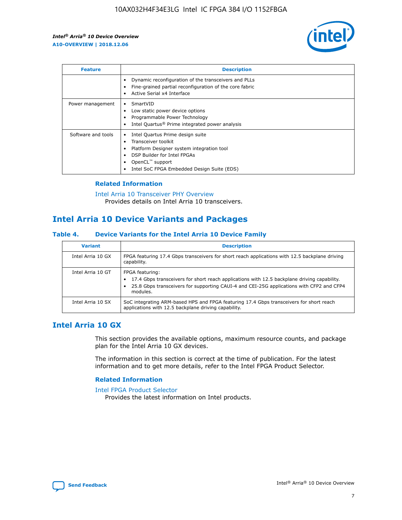

| <b>Feature</b>     | <b>Description</b>                                                                                                                                                                                               |
|--------------------|------------------------------------------------------------------------------------------------------------------------------------------------------------------------------------------------------------------|
|                    | Dynamic reconfiguration of the transceivers and PLLs<br>Fine-grained partial reconfiguration of the core fabric<br>Active Serial x4 Interface<br>$\bullet$                                                       |
| Power management   | SmartVID<br>Low static power device options<br>Programmable Power Technology<br>Intel Quartus <sup>®</sup> Prime integrated power analysis                                                                       |
| Software and tools | Intel Quartus Prime design suite<br>Transceiver toolkit<br>Platform Designer system integration tool<br>DSP Builder for Intel FPGAs<br>OpenCL <sup>™</sup> support<br>Intel SoC FPGA Embedded Design Suite (EDS) |

### **Related Information**

[Intel Arria 10 Transceiver PHY Overview](https://www.intel.com/content/www/us/en/programmable/documentation/nik1398707230472.html#nik1398706768037) Provides details on Intel Arria 10 transceivers.

# **Intel Arria 10 Device Variants and Packages**

#### **Table 4. Device Variants for the Intel Arria 10 Device Family**

| <b>Variant</b>    | <b>Description</b>                                                                                                                                                                                                     |
|-------------------|------------------------------------------------------------------------------------------------------------------------------------------------------------------------------------------------------------------------|
| Intel Arria 10 GX | FPGA featuring 17.4 Gbps transceivers for short reach applications with 12.5 backplane driving<br>capability.                                                                                                          |
| Intel Arria 10 GT | FPGA featuring:<br>17.4 Gbps transceivers for short reach applications with 12.5 backplane driving capability.<br>25.8 Gbps transceivers for supporting CAUI-4 and CEI-25G applications with CFP2 and CFP4<br>modules. |
| Intel Arria 10 SX | SoC integrating ARM-based HPS and FPGA featuring 17.4 Gbps transceivers for short reach<br>applications with 12.5 backplane driving capability.                                                                        |

## **Intel Arria 10 GX**

This section provides the available options, maximum resource counts, and package plan for the Intel Arria 10 GX devices.

The information in this section is correct at the time of publication. For the latest information and to get more details, refer to the Intel FPGA Product Selector.

#### **Related Information**

#### [Intel FPGA Product Selector](http://www.altera.com/products/selector/psg-selector.html) Provides the latest information on Intel products.

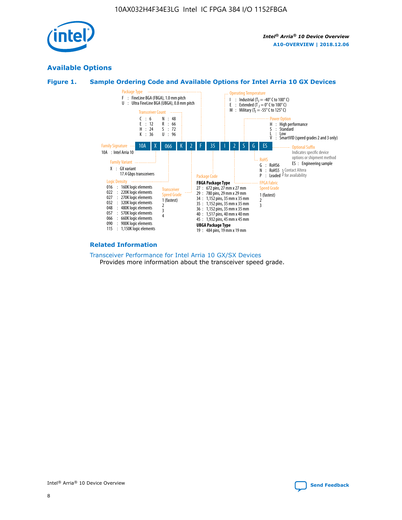

## **Available Options**





#### **Related Information**

[Transceiver Performance for Intel Arria 10 GX/SX Devices](https://www.intel.com/content/www/us/en/programmable/documentation/mcn1413182292568.html#mcn1413213965502) Provides more information about the transceiver speed grade.

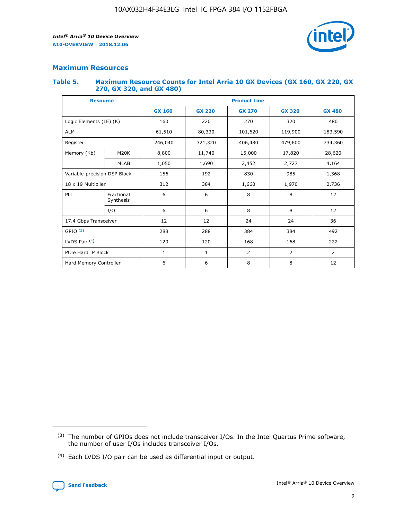

## **Maximum Resources**

#### **Table 5. Maximum Resource Counts for Intel Arria 10 GX Devices (GX 160, GX 220, GX 270, GX 320, and GX 480)**

| <b>Resource</b>              |                         | <b>Product Line</b> |                                                 |                |                |                |  |  |  |
|------------------------------|-------------------------|---------------------|-------------------------------------------------|----------------|----------------|----------------|--|--|--|
|                              |                         | <b>GX 160</b>       | <b>GX 220</b><br><b>GX 270</b><br><b>GX 320</b> |                |                | <b>GX 480</b>  |  |  |  |
| Logic Elements (LE) (K)      |                         | 160                 | 220                                             | 270            | 320            | 480            |  |  |  |
| <b>ALM</b>                   |                         | 61,510              | 80,330                                          | 101,620        | 119,900        | 183,590        |  |  |  |
| Register                     |                         | 246,040             | 406,480<br>321,320                              |                | 479,600        | 734,360        |  |  |  |
| Memory (Kb)                  | M <sub>20</sub> K       | 8,800               | 11,740                                          | 15,000         | 17,820         | 28,620         |  |  |  |
|                              | <b>MLAB</b>             | 1,050               | 1,690<br>2,452<br>2,727                         |                |                | 4,164          |  |  |  |
| Variable-precision DSP Block |                         | 156                 | 192                                             | 830            | 985            | 1,368          |  |  |  |
| 18 x 19 Multiplier           |                         | 312                 | 384                                             | 1,970<br>1,660 |                | 2,736          |  |  |  |
| PLL                          | Fractional<br>Synthesis | 6                   | 6                                               | 8              | 8              | 12             |  |  |  |
|                              | I/O                     | 6                   | 6                                               | 8              | 8              | 12             |  |  |  |
| 17.4 Gbps Transceiver        |                         | 12                  | 12                                              | 24             | 24             | 36             |  |  |  |
| GPIO <sup>(3)</sup>          |                         | 288                 | 288                                             | 384            | 384            |                |  |  |  |
| LVDS Pair $(4)$              |                         | 120                 | 120                                             | 168            | 168            | 222            |  |  |  |
| PCIe Hard IP Block           |                         | 1                   | 1                                               | 2              | $\overline{2}$ | $\overline{2}$ |  |  |  |
| Hard Memory Controller       |                         | 6                   | 6                                               | 8              | 8              | 12             |  |  |  |

<sup>(4)</sup> Each LVDS I/O pair can be used as differential input or output.



<sup>(3)</sup> The number of GPIOs does not include transceiver I/Os. In the Intel Quartus Prime software, the number of user I/Os includes transceiver I/Os.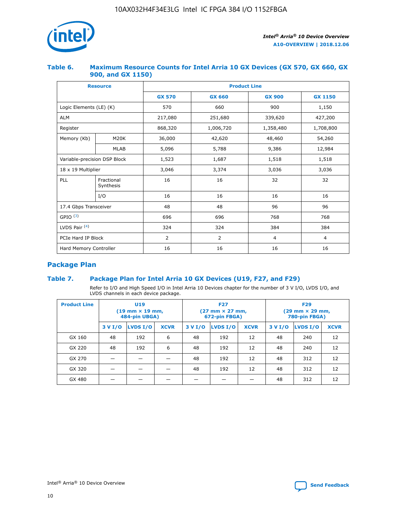

#### **Table 6. Maximum Resource Counts for Intel Arria 10 GX Devices (GX 570, GX 660, GX 900, and GX 1150)**

|                              | <b>Resource</b>         | <b>Product Line</b> |                |                |                |  |  |  |
|------------------------------|-------------------------|---------------------|----------------|----------------|----------------|--|--|--|
|                              |                         | <b>GX 570</b>       | <b>GX 660</b>  | <b>GX 900</b>  | <b>GX 1150</b> |  |  |  |
| Logic Elements (LE) (K)      |                         | 570                 | 660            | 900            | 1,150          |  |  |  |
| <b>ALM</b>                   |                         | 217,080             | 251,680        | 339,620        | 427,200        |  |  |  |
| Register                     |                         | 868,320             | 1,006,720      |                | 1,708,800      |  |  |  |
| Memory (Kb)                  | <b>M20K</b>             | 36,000              | 42,620         | 48,460         | 54,260         |  |  |  |
|                              | <b>MLAB</b>             | 5,096               | 5,788          |                | 12,984         |  |  |  |
| Variable-precision DSP Block |                         | 1,523               | 1,687          | 1,518          | 1,518          |  |  |  |
| $18 \times 19$ Multiplier    |                         | 3,046               | 3,374          | 3,036          | 3,036          |  |  |  |
| PLL                          | Fractional<br>Synthesis | 16                  | 16             | 32             | 32             |  |  |  |
|                              | I/O                     | 16                  | 16             | 16             | 16             |  |  |  |
| 17.4 Gbps Transceiver        |                         | 48                  | 48<br>96       |                | 96             |  |  |  |
| GPIO <sup>(3)</sup>          |                         | 696                 | 696            | 768            | 768            |  |  |  |
| LVDS Pair $(4)$              |                         | 324                 | 324<br>384     |                | 384            |  |  |  |
| PCIe Hard IP Block           |                         | 2                   | $\overline{2}$ | $\overline{4}$ | 4              |  |  |  |
| Hard Memory Controller       |                         | 16                  | 16             | 16             | 16             |  |  |  |

## **Package Plan**

## **Table 7. Package Plan for Intel Arria 10 GX Devices (U19, F27, and F29)**

Refer to I/O and High Speed I/O in Intel Arria 10 Devices chapter for the number of 3 V I/O, LVDS I/O, and LVDS channels in each device package.

| <b>Product Line</b> | U <sub>19</sub><br>$(19 \text{ mm} \times 19 \text{ mm})$<br>484-pin UBGA) |          |             | <b>F27</b><br>(27 mm × 27 mm,<br>672-pin FBGA) |                 |             | <b>F29</b><br>(29 mm × 29 mm,<br>780-pin FBGA) |          |             |
|---------------------|----------------------------------------------------------------------------|----------|-------------|------------------------------------------------|-----------------|-------------|------------------------------------------------|----------|-------------|
|                     | 3 V I/O                                                                    | LVDS I/O | <b>XCVR</b> | 3 V I/O                                        | <b>LVDS I/O</b> | <b>XCVR</b> | 3 V I/O                                        | LVDS I/O | <b>XCVR</b> |
| GX 160              | 48                                                                         | 192      | 6           | 48                                             | 192             | 12          | 48                                             | 240      | 12          |
| GX 220              | 48                                                                         | 192      | 6           | 48                                             | 192             | 12          | 48                                             | 240      | 12          |
| GX 270              |                                                                            |          |             | 48                                             | 192             | 12          | 48                                             | 312      | 12          |
| GX 320              |                                                                            |          |             | 48                                             | 192             | 12          | 48                                             | 312      | 12          |
| GX 480              |                                                                            |          |             |                                                |                 |             | 48                                             | 312      | 12          |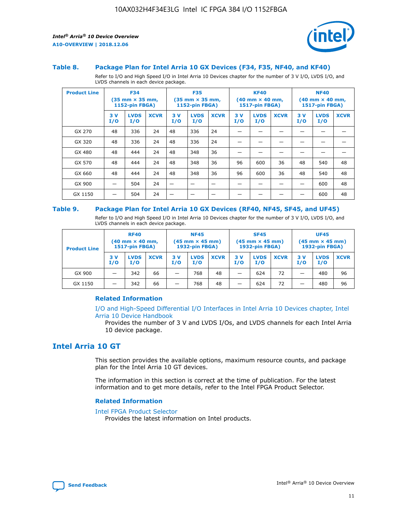



#### **Table 8. Package Plan for Intel Arria 10 GX Devices (F34, F35, NF40, and KF40)**

Refer to I/O and High Speed I/O in Intel Arria 10 Devices chapter for the number of 3 V I/O, LVDS I/O, and LVDS channels in each device package.

| <b>Product Line</b> | <b>F34</b><br>(35 mm × 35 mm,<br><b>1152-pin FBGA)</b> |                    | <b>F35</b><br>$(35$ mm $\times$ 35 mm,<br><b>1152-pin FBGA)</b> |           | <b>KF40</b><br>$(40 \text{ mm} \times 40 \text{ mm})$<br>1517-pin FBGA) |             |           | <b>NF40</b><br>$(40 \text{ mm} \times 40 \text{ mm})$<br><b>1517-pin FBGA)</b> |             |           |                    |             |
|---------------------|--------------------------------------------------------|--------------------|-----------------------------------------------------------------|-----------|-------------------------------------------------------------------------|-------------|-----------|--------------------------------------------------------------------------------|-------------|-----------|--------------------|-------------|
|                     | 3V<br>I/O                                              | <b>LVDS</b><br>I/O | <b>XCVR</b>                                                     | 3V<br>I/O | <b>LVDS</b><br>I/O                                                      | <b>XCVR</b> | 3V<br>I/O | <b>LVDS</b><br>I/O                                                             | <b>XCVR</b> | 3V<br>I/O | <b>LVDS</b><br>I/O | <b>XCVR</b> |
| GX 270              | 48                                                     | 336                | 24                                                              | 48        | 336                                                                     | 24          |           |                                                                                |             |           |                    |             |
| GX 320              | 48                                                     | 336                | 24                                                              | 48        | 336                                                                     | 24          |           |                                                                                |             |           |                    |             |
| GX 480              | 48                                                     | 444                | 24                                                              | 48        | 348                                                                     | 36          |           |                                                                                |             |           |                    |             |
| GX 570              | 48                                                     | 444                | 24                                                              | 48        | 348                                                                     | 36          | 96        | 600                                                                            | 36          | 48        | 540                | 48          |
| GX 660              | 48                                                     | 444                | 24                                                              | 48        | 348                                                                     | 36          | 96        | 600                                                                            | 36          | 48        | 540                | 48          |
| GX 900              |                                                        | 504                | 24                                                              | -         |                                                                         | -           |           |                                                                                |             |           | 600                | 48          |
| GX 1150             |                                                        | 504                | 24                                                              |           |                                                                         |             |           |                                                                                |             |           | 600                | 48          |

#### **Table 9. Package Plan for Intel Arria 10 GX Devices (RF40, NF45, SF45, and UF45)**

Refer to I/O and High Speed I/O in Intel Arria 10 Devices chapter for the number of 3 V I/O, LVDS I/O, and LVDS channels in each device package.

| <b>Product Line</b> | <b>RF40</b><br>$(40$ mm $\times$ 40 mm,<br>1517-pin FBGA) |                    | <b>NF45</b><br>$(45 \text{ mm} \times 45 \text{ mm})$<br><b>1932-pin FBGA)</b> |            |                    | <b>SF45</b><br>$(45 \text{ mm} \times 45 \text{ mm})$<br><b>1932-pin FBGA)</b> |            |                    | <b>UF45</b><br>$(45 \text{ mm} \times 45 \text{ mm})$<br><b>1932-pin FBGA)</b> |           |                    |             |
|---------------------|-----------------------------------------------------------|--------------------|--------------------------------------------------------------------------------|------------|--------------------|--------------------------------------------------------------------------------|------------|--------------------|--------------------------------------------------------------------------------|-----------|--------------------|-------------|
|                     | 3V<br>I/O                                                 | <b>LVDS</b><br>I/O | <b>XCVR</b>                                                                    | 3 V<br>I/O | <b>LVDS</b><br>I/O | <b>XCVR</b>                                                                    | 3 V<br>I/O | <b>LVDS</b><br>I/O | <b>XCVR</b>                                                                    | 3V<br>I/O | <b>LVDS</b><br>I/O | <b>XCVR</b> |
| GX 900              |                                                           | 342                | 66                                                                             | _          | 768                | 48                                                                             |            | 624                | 72                                                                             |           | 480                | 96          |
| GX 1150             |                                                           | 342                | 66                                                                             | _          | 768                | 48                                                                             |            | 624                | 72                                                                             |           | 480                | 96          |

#### **Related Information**

[I/O and High-Speed Differential I/O Interfaces in Intel Arria 10 Devices chapter, Intel](https://www.intel.com/content/www/us/en/programmable/documentation/sam1403482614086.html#sam1403482030321) [Arria 10 Device Handbook](https://www.intel.com/content/www/us/en/programmable/documentation/sam1403482614086.html#sam1403482030321)

Provides the number of 3 V and LVDS I/Os, and LVDS channels for each Intel Arria 10 device package.

## **Intel Arria 10 GT**

This section provides the available options, maximum resource counts, and package plan for the Intel Arria 10 GT devices.

The information in this section is correct at the time of publication. For the latest information and to get more details, refer to the Intel FPGA Product Selector.

#### **Related Information**

#### [Intel FPGA Product Selector](http://www.altera.com/products/selector/psg-selector.html)

Provides the latest information on Intel products.

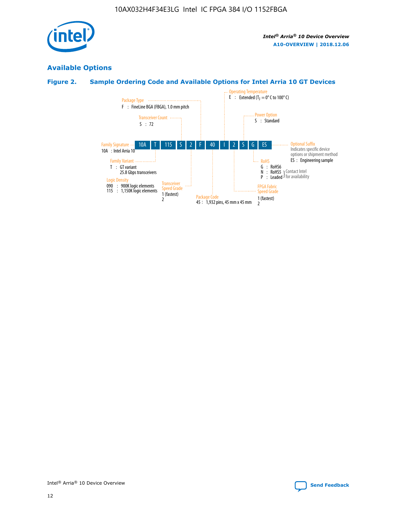

## **Available Options**

## **Figure 2. Sample Ordering Code and Available Options for Intel Arria 10 GT Devices**

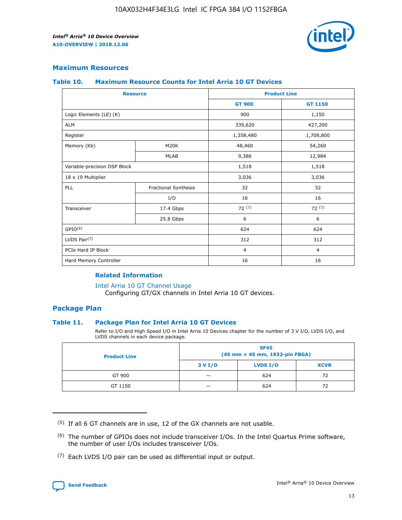

## **Maximum Resources**

#### **Table 10. Maximum Resource Counts for Intel Arria 10 GT Devices**

| <b>Resource</b>              |                      |                | <b>Product Line</b> |  |
|------------------------------|----------------------|----------------|---------------------|--|
|                              |                      | <b>GT 900</b>  | GT 1150             |  |
| Logic Elements (LE) (K)      |                      | 900            | 1,150               |  |
| <b>ALM</b>                   |                      | 339,620        | 427,200             |  |
| Register                     |                      | 1,358,480      | 1,708,800           |  |
| Memory (Kb)                  | M <sub>20</sub> K    | 48,460         | 54,260              |  |
|                              | <b>MLAB</b>          | 9,386          | 12,984              |  |
| Variable-precision DSP Block |                      | 1,518          | 1,518               |  |
| 18 x 19 Multiplier           |                      | 3,036          | 3,036               |  |
| PLL                          | Fractional Synthesis | 32             | 32                  |  |
|                              | I/O                  | 16             | 16                  |  |
| Transceiver                  | 17.4 Gbps            | 72(5)          | 72(5)               |  |
|                              | 25.8 Gbps            | 6              | 6                   |  |
| GPIO <sup>(6)</sup>          |                      | 624            | 624                 |  |
| LVDS Pair $(7)$              |                      | 312            | 312                 |  |
| PCIe Hard IP Block           |                      | $\overline{4}$ | $\overline{4}$      |  |
| Hard Memory Controller       |                      | 16             | 16                  |  |

#### **Related Information**

#### [Intel Arria 10 GT Channel Usage](https://www.intel.com/content/www/us/en/programmable/documentation/nik1398707230472.html#nik1398707008178)

Configuring GT/GX channels in Intel Arria 10 GT devices.

## **Package Plan**

#### **Table 11. Package Plan for Intel Arria 10 GT Devices**

Refer to I/O and High Speed I/O in Intel Arria 10 Devices chapter for the number of 3 V I/O, LVDS I/O, and LVDS channels in each device package.

| <b>Product Line</b> | <b>SF45</b><br>(45 mm × 45 mm, 1932-pin FBGA) |                 |             |  |  |  |
|---------------------|-----------------------------------------------|-----------------|-------------|--|--|--|
|                     | 3 V I/O                                       | <b>LVDS I/O</b> | <b>XCVR</b> |  |  |  |
| GT 900              |                                               | 624             | 72          |  |  |  |
| GT 1150             |                                               | 624             |             |  |  |  |

<sup>(7)</sup> Each LVDS I/O pair can be used as differential input or output.



 $(5)$  If all 6 GT channels are in use, 12 of the GX channels are not usable.

<sup>(6)</sup> The number of GPIOs does not include transceiver I/Os. In the Intel Quartus Prime software, the number of user I/Os includes transceiver I/Os.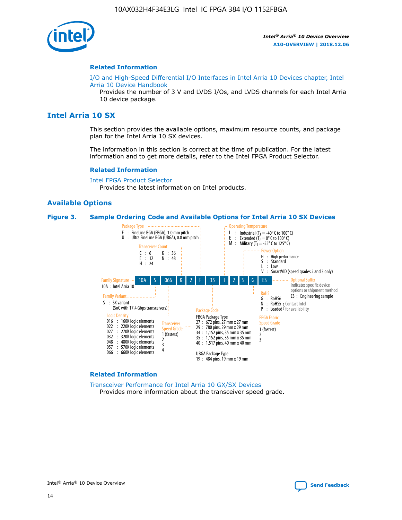

#### **Related Information**

[I/O and High-Speed Differential I/O Interfaces in Intel Arria 10 Devices chapter, Intel](https://www.intel.com/content/www/us/en/programmable/documentation/sam1403482614086.html#sam1403482030321) [Arria 10 Device Handbook](https://www.intel.com/content/www/us/en/programmable/documentation/sam1403482614086.html#sam1403482030321)

Provides the number of 3 V and LVDS I/Os, and LVDS channels for each Intel Arria 10 device package.

## **Intel Arria 10 SX**

This section provides the available options, maximum resource counts, and package plan for the Intel Arria 10 SX devices.

The information in this section is correct at the time of publication. For the latest information and to get more details, refer to the Intel FPGA Product Selector.

#### **Related Information**

[Intel FPGA Product Selector](http://www.altera.com/products/selector/psg-selector.html) Provides the latest information on Intel products.

#### **Available Options**

#### **Figure 3. Sample Ordering Code and Available Options for Intel Arria 10 SX Devices**



#### **Related Information**

[Transceiver Performance for Intel Arria 10 GX/SX Devices](https://www.intel.com/content/www/us/en/programmable/documentation/mcn1413182292568.html#mcn1413213965502) Provides more information about the transceiver speed grade.

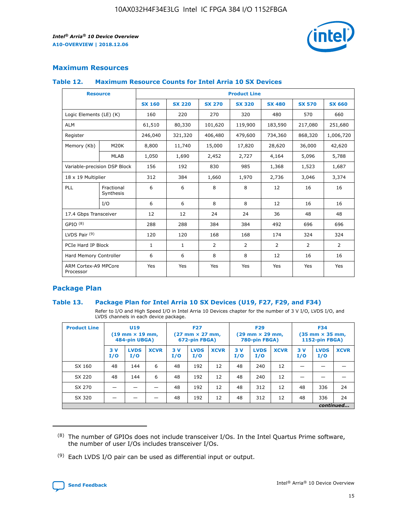

## **Maximum Resources**

#### **Table 12. Maximum Resource Counts for Intel Arria 10 SX Devices**

| <b>Resource</b>                   |                         | <b>Product Line</b> |               |               |                |               |               |               |  |  |  |
|-----------------------------------|-------------------------|---------------------|---------------|---------------|----------------|---------------|---------------|---------------|--|--|--|
|                                   |                         | <b>SX 160</b>       | <b>SX 220</b> | <b>SX 270</b> | <b>SX 320</b>  | <b>SX 480</b> | <b>SX 570</b> | <b>SX 660</b> |  |  |  |
| Logic Elements (LE) (K)           |                         | 160                 | 220           | 270           | 320            | 480           | 570           | 660           |  |  |  |
| <b>ALM</b>                        |                         | 61,510              | 80,330        | 101,620       | 119,900        | 183,590       | 217,080       | 251,680       |  |  |  |
| Register                          |                         | 246,040             | 321,320       | 406,480       | 479,600        | 734,360       | 868,320       | 1,006,720     |  |  |  |
| Memory (Kb)                       | M20K                    | 8,800               | 11,740        | 15,000        | 17,820         | 28,620        | 36,000        | 42,620        |  |  |  |
|                                   | <b>MLAB</b>             | 1,050               | 1,690         | 2,452         | 2,727          | 4,164         | 5,096         | 5,788         |  |  |  |
| Variable-precision DSP Block      |                         | 156                 | 192           | 830           | 985            | 1,368         | 1,523         | 1,687         |  |  |  |
| 18 x 19 Multiplier                |                         | 312                 | 384           | 1,660         | 1,970          | 2,736         | 3,046         | 3,374         |  |  |  |
| PLL                               | Fractional<br>Synthesis | 6                   | 6             | 8             | 8              | 12            | 16            | 16            |  |  |  |
|                                   | I/O                     | 6                   | 6             | 8             | 8              | 12            | 16            | 16            |  |  |  |
| 17.4 Gbps Transceiver             |                         | 12                  | 12            | 24            | 24             | 36            | 48            | 48            |  |  |  |
| GPIO <sup>(8)</sup>               |                         | 288                 | 288           | 384           | 384            | 492           | 696           | 696           |  |  |  |
| LVDS Pair $(9)$                   |                         | 120                 | 120           | 168           | 168            | 174           | 324           | 324           |  |  |  |
| PCIe Hard IP Block                |                         | $\mathbf{1}$        | $\mathbf{1}$  | 2             | $\overline{2}$ | 2             | 2             | 2             |  |  |  |
| Hard Memory Controller            |                         | 6                   | 6             | 8             | 8              | 12            | 16            | 16            |  |  |  |
| ARM Cortex-A9 MPCore<br>Processor |                         | Yes                 | Yes           | Yes           | Yes            | Yes           | Yes           | Yes           |  |  |  |

## **Package Plan**

#### **Table 13. Package Plan for Intel Arria 10 SX Devices (U19, F27, F29, and F34)**

Refer to I/O and High Speed I/O in Intel Arria 10 Devices chapter for the number of 3 V I/O, LVDS I/O, and LVDS channels in each device package.

| <b>Product Line</b> | <b>U19</b><br>$(19 \text{ mm} \times 19 \text{ mm})$<br>484-pin UBGA) |                    | <b>F27</b><br>$(27 \text{ mm} \times 27 \text{ mm})$<br>672-pin FBGA) |           | <b>F29</b><br>$(29 \text{ mm} \times 29 \text{ mm})$<br>780-pin FBGA) |             |           | <b>F34</b><br>$(35 \text{ mm} \times 35 \text{ mm})$<br><b>1152-pin FBGA)</b> |             |           |                    |             |
|---------------------|-----------------------------------------------------------------------|--------------------|-----------------------------------------------------------------------|-----------|-----------------------------------------------------------------------|-------------|-----------|-------------------------------------------------------------------------------|-------------|-----------|--------------------|-------------|
|                     | 3V<br>I/O                                                             | <b>LVDS</b><br>I/O | <b>XCVR</b>                                                           | 3V<br>I/O | <b>LVDS</b><br>I/O                                                    | <b>XCVR</b> | 3V<br>I/O | <b>LVDS</b><br>I/O                                                            | <b>XCVR</b> | 3V<br>I/O | <b>LVDS</b><br>I/O | <b>XCVR</b> |
| SX 160              | 48                                                                    | 144                | 6                                                                     | 48        | 192                                                                   | 12          | 48        | 240                                                                           | 12          |           |                    |             |
| SX 220              | 48                                                                    | 144                | 6                                                                     | 48        | 192                                                                   | 12          | 48        | 240                                                                           | 12          |           |                    |             |
| SX 270              |                                                                       |                    |                                                                       | 48        | 192                                                                   | 12          | 48        | 312                                                                           | 12          | 48        | 336                | 24          |
| SX 320              |                                                                       |                    |                                                                       | 48        | 192                                                                   | 12          | 48        | 312                                                                           | 12          | 48        | 336                | 24          |
|                     | continued                                                             |                    |                                                                       |           |                                                                       |             |           |                                                                               |             |           |                    |             |

 $(8)$  The number of GPIOs does not include transceiver I/Os. In the Intel Quartus Prime software, the number of user I/Os includes transceiver I/Os.

 $(9)$  Each LVDS I/O pair can be used as differential input or output.

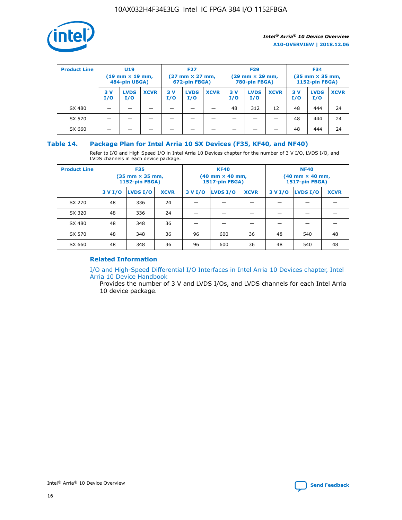

| <b>Product Line</b> | U <sub>19</sub><br>$(19 \text{ mm} \times 19 \text{ mm})$<br>484-pin UBGA) |                    | <b>F27</b><br>$(27 \text{ mm} \times 27 \text{ mm})$<br>672-pin FBGA) |           | <b>F29</b><br>$(29 \text{ mm} \times 29 \text{ mm})$<br>780-pin FBGA) |             |           | <b>F34</b><br>$(35$ mm $\times$ 35 mm,<br><b>1152-pin FBGA)</b> |             |           |                    |             |
|---------------------|----------------------------------------------------------------------------|--------------------|-----------------------------------------------------------------------|-----------|-----------------------------------------------------------------------|-------------|-----------|-----------------------------------------------------------------|-------------|-----------|--------------------|-------------|
|                     | 3 V<br>I/O                                                                 | <b>LVDS</b><br>I/O | <b>XCVR</b>                                                           | 3V<br>I/O | <b>LVDS</b><br>I/O                                                    | <b>XCVR</b> | 3V<br>I/O | <b>LVDS</b><br>I/O                                              | <b>XCVR</b> | 3V<br>I/O | <b>LVDS</b><br>I/O | <b>XCVR</b> |
| SX 480              |                                                                            |                    |                                                                       |           |                                                                       |             | 48        | 312                                                             | 12          | 48        | 444                | 24          |
| SX 570              |                                                                            |                    |                                                                       |           |                                                                       |             |           |                                                                 |             | 48        | 444                | 24          |
| SX 660              |                                                                            |                    |                                                                       |           |                                                                       |             |           |                                                                 |             | 48        | 444                | 24          |

## **Table 14. Package Plan for Intel Arria 10 SX Devices (F35, KF40, and NF40)**

Refer to I/O and High Speed I/O in Intel Arria 10 Devices chapter for the number of 3 V I/O, LVDS I/O, and LVDS channels in each device package.

| <b>Product Line</b> | <b>F35</b><br>(35 mm × 35 mm,<br><b>1152-pin FBGA)</b> |          |             |                                           | <b>KF40</b><br>(40 mm × 40 mm,<br>1517-pin FBGA) |    | <b>NF40</b><br>$(40 \text{ mm} \times 40 \text{ mm})$<br><b>1517-pin FBGA)</b> |          |             |  |
|---------------------|--------------------------------------------------------|----------|-------------|-------------------------------------------|--------------------------------------------------|----|--------------------------------------------------------------------------------|----------|-------------|--|
|                     | 3 V I/O                                                | LVDS I/O | <b>XCVR</b> | <b>LVDS I/O</b><br><b>XCVR</b><br>3 V I/O |                                                  |    | 3 V I/O                                                                        | LVDS I/O | <b>XCVR</b> |  |
| SX 270              | 48                                                     | 336      | 24          |                                           |                                                  |    |                                                                                |          |             |  |
| SX 320              | 48                                                     | 336      | 24          |                                           |                                                  |    |                                                                                |          |             |  |
| SX 480              | 48                                                     | 348      | 36          |                                           |                                                  |    |                                                                                |          |             |  |
| SX 570              | 48                                                     | 348      | 36          | 96                                        | 600                                              | 36 | 48                                                                             | 540      | 48          |  |
| SX 660              | 48                                                     | 348      | 36          | 96                                        | 600                                              | 36 | 48                                                                             | 540      | 48          |  |

## **Related Information**

[I/O and High-Speed Differential I/O Interfaces in Intel Arria 10 Devices chapter, Intel](https://www.intel.com/content/www/us/en/programmable/documentation/sam1403482614086.html#sam1403482030321) [Arria 10 Device Handbook](https://www.intel.com/content/www/us/en/programmable/documentation/sam1403482614086.html#sam1403482030321)

Provides the number of 3 V and LVDS I/Os, and LVDS channels for each Intel Arria 10 device package.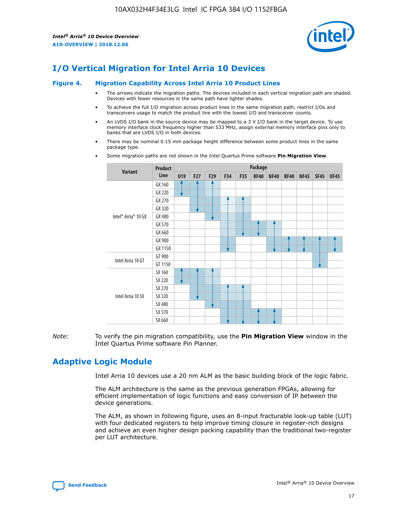

# **I/O Vertical Migration for Intel Arria 10 Devices**

#### **Figure 4. Migration Capability Across Intel Arria 10 Product Lines**

- The arrows indicate the migration paths. The devices included in each vertical migration path are shaded. Devices with fewer resources in the same path have lighter shades.
- To achieve the full I/O migration across product lines in the same migration path, restrict I/Os and transceivers usage to match the product line with the lowest I/O and transceiver counts.
- An LVDS I/O bank in the source device may be mapped to a 3 V I/O bank in the target device. To use memory interface clock frequency higher than 533 MHz, assign external memory interface pins only to banks that are LVDS I/O in both devices.
- There may be nominal 0.15 mm package height difference between some product lines in the same package type.
	- **Variant Product Line Package U19 F27 F29 F34 F35 KF40 NF40 RF40 NF45 SF45 UF45** Intel® Arria® 10 GX GX 160 GX 220 GX 270 GX 320 GX 480 GX 570 GX 660 GX 900 GX 1150 Intel Arria 10 GT GT 900 GT 1150 Intel Arria 10 SX SX 160 SX 220 SX 270 SX 320 SX 480 SX 570 SX 660
- Some migration paths are not shown in the Intel Quartus Prime software **Pin Migration View**.

*Note:* To verify the pin migration compatibility, use the **Pin Migration View** window in the Intel Quartus Prime software Pin Planner.

# **Adaptive Logic Module**

Intel Arria 10 devices use a 20 nm ALM as the basic building block of the logic fabric.

The ALM architecture is the same as the previous generation FPGAs, allowing for efficient implementation of logic functions and easy conversion of IP between the device generations.

The ALM, as shown in following figure, uses an 8-input fracturable look-up table (LUT) with four dedicated registers to help improve timing closure in register-rich designs and achieve an even higher design packing capability than the traditional two-register per LUT architecture.

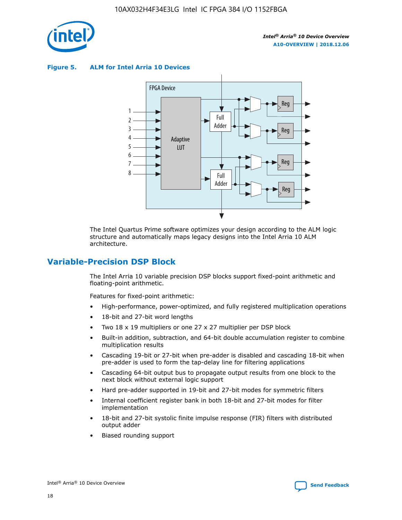

**Figure 5. ALM for Intel Arria 10 Devices**



The Intel Quartus Prime software optimizes your design according to the ALM logic structure and automatically maps legacy designs into the Intel Arria 10 ALM architecture.

## **Variable-Precision DSP Block**

The Intel Arria 10 variable precision DSP blocks support fixed-point arithmetic and floating-point arithmetic.

Features for fixed-point arithmetic:

- High-performance, power-optimized, and fully registered multiplication operations
- 18-bit and 27-bit word lengths
- Two 18 x 19 multipliers or one 27 x 27 multiplier per DSP block
- Built-in addition, subtraction, and 64-bit double accumulation register to combine multiplication results
- Cascading 19-bit or 27-bit when pre-adder is disabled and cascading 18-bit when pre-adder is used to form the tap-delay line for filtering applications
- Cascading 64-bit output bus to propagate output results from one block to the next block without external logic support
- Hard pre-adder supported in 19-bit and 27-bit modes for symmetric filters
- Internal coefficient register bank in both 18-bit and 27-bit modes for filter implementation
- 18-bit and 27-bit systolic finite impulse response (FIR) filters with distributed output adder
- Biased rounding support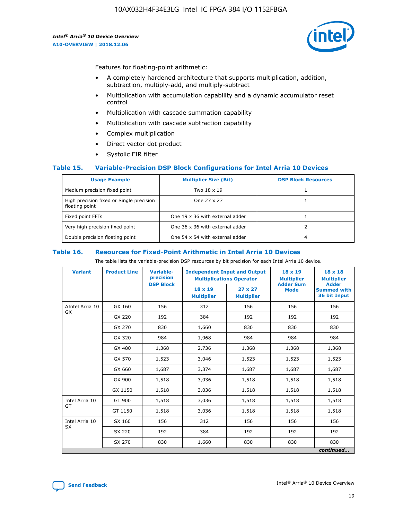

Features for floating-point arithmetic:

- A completely hardened architecture that supports multiplication, addition, subtraction, multiply-add, and multiply-subtract
- Multiplication with accumulation capability and a dynamic accumulator reset control
- Multiplication with cascade summation capability
- Multiplication with cascade subtraction capability
- Complex multiplication
- Direct vector dot product
- Systolic FIR filter

#### **Table 15. Variable-Precision DSP Block Configurations for Intel Arria 10 Devices**

| <b>Usage Example</b>                                       | <b>Multiplier Size (Bit)</b>    | <b>DSP Block Resources</b> |
|------------------------------------------------------------|---------------------------------|----------------------------|
| Medium precision fixed point                               | Two 18 x 19                     |                            |
| High precision fixed or Single precision<br>floating point | One 27 x 27                     |                            |
| Fixed point FFTs                                           | One 19 x 36 with external adder |                            |
| Very high precision fixed point                            | One 36 x 36 with external adder |                            |
| Double precision floating point                            | One 54 x 54 with external adder | 4                          |

#### **Table 16. Resources for Fixed-Point Arithmetic in Intel Arria 10 Devices**

The table lists the variable-precision DSP resources by bit precision for each Intel Arria 10 device.

| <b>Variant</b>  | <b>Product Line</b> | Variable-<br>precision<br><b>DSP Block</b> | <b>Independent Input and Output</b><br><b>Multiplications Operator</b> |                                     | 18 x 19<br><b>Multiplier</b><br><b>Adder Sum</b> | $18 \times 18$<br><b>Multiplier</b><br><b>Adder</b> |
|-----------------|---------------------|--------------------------------------------|------------------------------------------------------------------------|-------------------------------------|--------------------------------------------------|-----------------------------------------------------|
|                 |                     |                                            | 18 x 19<br><b>Multiplier</b>                                           | $27 \times 27$<br><b>Multiplier</b> | <b>Mode</b>                                      | <b>Summed with</b><br>36 bit Input                  |
| AIntel Arria 10 | GX 160              | 156                                        | 312                                                                    | 156                                 | 156                                              | 156                                                 |
| GX              | GX 220              | 192                                        | 384                                                                    | 192                                 | 192                                              | 192                                                 |
|                 | GX 270              | 830                                        | 1,660                                                                  | 830                                 | 830                                              | 830                                                 |
|                 | GX 320              | 984                                        | 1,968                                                                  | 984                                 | 984                                              | 984                                                 |
|                 | GX 480              | 1,368                                      | 2,736                                                                  | 1,368                               | 1,368                                            | 1,368                                               |
|                 | GX 570              | 1,523                                      | 3,046                                                                  | 1,523                               | 1,523                                            | 1,523                                               |
|                 | GX 660              | 1,687                                      | 3,374                                                                  | 1,687                               | 1,687                                            | 1,687                                               |
|                 | GX 900              | 1,518                                      | 3,036                                                                  | 1,518                               | 1,518                                            | 1,518                                               |
|                 | GX 1150             | 1,518                                      | 3,036                                                                  | 1,518                               | 1,518                                            | 1,518                                               |
| Intel Arria 10  | GT 900              | 1,518                                      | 3,036                                                                  | 1,518                               | 1,518                                            | 1,518                                               |
| GT              | GT 1150             | 1,518                                      | 3,036                                                                  | 1,518                               | 1,518                                            | 1,518                                               |
| Intel Arria 10  | SX 160              | 156                                        | 312                                                                    | 156                                 | 156                                              | 156                                                 |
| <b>SX</b>       | SX 220<br>192       |                                            | 384                                                                    | 192                                 | 192                                              | 192                                                 |
|                 | SX 270              | 830                                        | 1,660                                                                  | 830                                 | 830                                              | 830                                                 |
|                 |                     |                                            |                                                                        |                                     |                                                  | continued                                           |

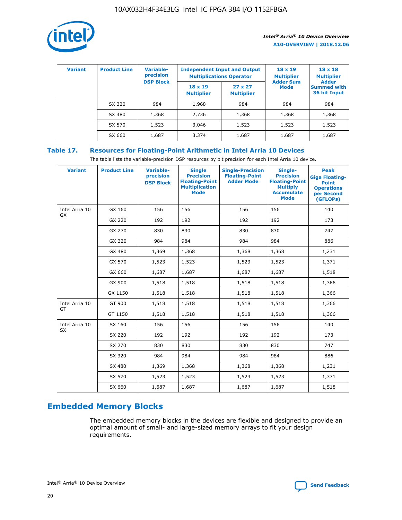

| <b>Variant</b> | <b>Product Line</b> | <b>Variable-</b><br>precision<br><b>DSP Block</b> | <b>Independent Input and Output</b><br><b>Multiplications Operator</b> |                                     | $18 \times 19$<br><b>Multiplier</b><br><b>Adder Sum</b> | $18 \times 18$<br><b>Multiplier</b><br><b>Adder</b> |  |
|----------------|---------------------|---------------------------------------------------|------------------------------------------------------------------------|-------------------------------------|---------------------------------------------------------|-----------------------------------------------------|--|
|                |                     |                                                   | $18 \times 19$<br><b>Multiplier</b>                                    | $27 \times 27$<br><b>Multiplier</b> | <b>Mode</b>                                             | <b>Summed with</b><br>36 bit Input                  |  |
|                | SX 320              | 984                                               | 1,968                                                                  | 984                                 | 984                                                     | 984                                                 |  |
|                | SX 480              | 1,368                                             | 2,736                                                                  | 1,368                               | 1,368                                                   | 1,368                                               |  |
|                | SX 570              | 1,523                                             | 3,046                                                                  | 1,523                               | 1,523                                                   | 1,523                                               |  |
|                | SX 660              | 1,687                                             | 3,374                                                                  | 1,687                               | 1,687                                                   | 1,687                                               |  |

## **Table 17. Resources for Floating-Point Arithmetic in Intel Arria 10 Devices**

The table lists the variable-precision DSP resources by bit precision for each Intel Arria 10 device.

| <b>Variant</b> | <b>Product Line</b> | <b>Variable-</b><br>precision<br><b>DSP Block</b> | <b>Single</b><br><b>Precision</b><br><b>Floating-Point</b><br><b>Multiplication</b><br><b>Mode</b> | <b>Single-Precision</b><br><b>Floating-Point</b><br><b>Adder Mode</b> | Single-<br><b>Precision</b><br><b>Floating-Point</b><br><b>Multiply</b><br><b>Accumulate</b><br><b>Mode</b> | <b>Peak</b><br><b>Giga Floating-</b><br><b>Point</b><br><b>Operations</b><br>per Second<br>(GFLOPs) |
|----------------|---------------------|---------------------------------------------------|----------------------------------------------------------------------------------------------------|-----------------------------------------------------------------------|-------------------------------------------------------------------------------------------------------------|-----------------------------------------------------------------------------------------------------|
| Intel Arria 10 | GX 160              | 156                                               | 156                                                                                                | 156                                                                   | 156                                                                                                         | 140                                                                                                 |
| GX             | GX 220              | 192                                               | 192                                                                                                | 192                                                                   | 192                                                                                                         | 173                                                                                                 |
|                | GX 270              | 830                                               | 830                                                                                                | 830                                                                   | 830                                                                                                         | 747                                                                                                 |
|                | GX 320              | 984                                               | 984                                                                                                | 984                                                                   | 984                                                                                                         | 886                                                                                                 |
|                | GX 480              | 1,369                                             | 1,368                                                                                              | 1,368                                                                 | 1,368                                                                                                       | 1,231                                                                                               |
|                | GX 570              | 1,523                                             | 1,523                                                                                              | 1,523                                                                 | 1,523                                                                                                       | 1,371                                                                                               |
|                | GX 660              | 1,687                                             | 1,687                                                                                              | 1,687                                                                 | 1,687                                                                                                       | 1,518                                                                                               |
|                | GX 900              | 1,518                                             | 1,518                                                                                              | 1,518                                                                 | 1,518                                                                                                       | 1,366                                                                                               |
|                | GX 1150             | 1,518                                             | 1,518                                                                                              | 1,518                                                                 | 1,518                                                                                                       | 1,366                                                                                               |
| Intel Arria 10 | GT 900              | 1,518                                             | 1,518                                                                                              | 1,518                                                                 | 1,518                                                                                                       | 1,366                                                                                               |
| GT             | GT 1150             | 1,518                                             | 1,518                                                                                              | 1,518                                                                 | 1,518                                                                                                       | 1,366                                                                                               |
| Intel Arria 10 | SX 160              | 156                                               | 156                                                                                                | 156                                                                   | 156                                                                                                         | 140                                                                                                 |
| <b>SX</b>      | SX 220              | 192                                               | 192                                                                                                | 192                                                                   | 192                                                                                                         | 173                                                                                                 |
|                | SX 270              | 830                                               | 830                                                                                                | 830                                                                   | 830                                                                                                         | 747                                                                                                 |
|                | SX 320              | 984                                               | 984                                                                                                | 984                                                                   | 984                                                                                                         | 886                                                                                                 |
|                | SX 480              | 1,369                                             | 1,368                                                                                              | 1,368                                                                 | 1,368                                                                                                       | 1,231                                                                                               |
|                | SX 570              | 1,523                                             | 1,523                                                                                              | 1,523                                                                 | 1,523                                                                                                       | 1,371                                                                                               |
|                | SX 660              | 1,687                                             | 1,687                                                                                              | 1,687                                                                 | 1,687                                                                                                       | 1,518                                                                                               |

# **Embedded Memory Blocks**

The embedded memory blocks in the devices are flexible and designed to provide an optimal amount of small- and large-sized memory arrays to fit your design requirements.

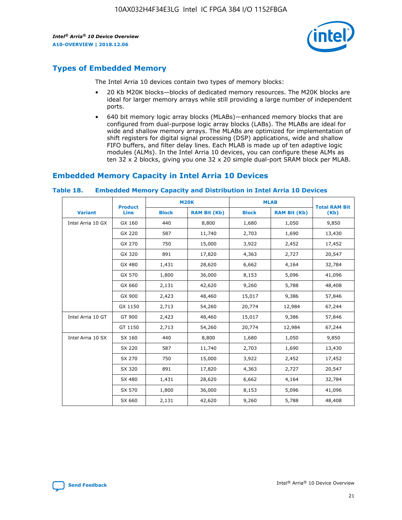

# **Types of Embedded Memory**

The Intel Arria 10 devices contain two types of memory blocks:

- 20 Kb M20K blocks—blocks of dedicated memory resources. The M20K blocks are ideal for larger memory arrays while still providing a large number of independent ports.
- 640 bit memory logic array blocks (MLABs)—enhanced memory blocks that are configured from dual-purpose logic array blocks (LABs). The MLABs are ideal for wide and shallow memory arrays. The MLABs are optimized for implementation of shift registers for digital signal processing (DSP) applications, wide and shallow FIFO buffers, and filter delay lines. Each MLAB is made up of ten adaptive logic modules (ALMs). In the Intel Arria 10 devices, you can configure these ALMs as ten 32 x 2 blocks, giving you one 32 x 20 simple dual-port SRAM block per MLAB.

# **Embedded Memory Capacity in Intel Arria 10 Devices**

|                   | <b>Product</b> | <b>M20K</b>  |                     | <b>MLAB</b>  |                     | <b>Total RAM Bit</b> |
|-------------------|----------------|--------------|---------------------|--------------|---------------------|----------------------|
| <b>Variant</b>    | <b>Line</b>    | <b>Block</b> | <b>RAM Bit (Kb)</b> | <b>Block</b> | <b>RAM Bit (Kb)</b> | (Kb)                 |
| Intel Arria 10 GX | GX 160         | 440          | 8,800               | 1,680        | 1,050               | 9,850                |
|                   | GX 220         | 587          | 11,740              | 2,703        | 1,690               | 13,430               |
|                   | GX 270         | 750          | 15,000              | 3,922        | 2,452               | 17,452               |
|                   | GX 320         | 891          | 17,820              | 4,363        | 2,727               | 20,547               |
|                   | GX 480         | 1,431        | 28,620              | 6,662        | 4,164               | 32,784               |
|                   | GX 570         | 1,800        | 36,000              | 8,153        | 5,096               | 41,096               |
|                   | GX 660         | 2,131        | 42,620              | 9,260        | 5,788               | 48,408               |
|                   | GX 900         | 2,423        | 48,460              | 15,017       | 9,386               | 57,846               |
|                   | GX 1150        | 2,713        | 54,260              | 20,774       | 12,984              | 67,244               |
| Intel Arria 10 GT | GT 900         | 2,423        | 48,460              | 15,017       | 9,386               | 57,846               |
|                   | GT 1150        | 2,713        | 54,260              | 20,774       | 12,984              | 67,244               |
| Intel Arria 10 SX | SX 160         | 440          | 8,800               | 1,680        | 1,050               | 9,850                |
|                   | SX 220         | 587          | 11,740              | 2,703        | 1,690               | 13,430               |
|                   | SX 270         | 750          | 15,000              | 3,922        | 2,452               | 17,452               |
|                   | SX 320         | 891          | 17,820              | 4,363        | 2,727               | 20,547               |
|                   | SX 480         | 1,431        | 28,620              | 6,662        | 4,164               | 32,784               |
|                   | SX 570         | 1,800        | 36,000              | 8,153        | 5,096               | 41,096               |
|                   | SX 660         | 2,131        | 42,620              | 9,260        | 5,788               | 48,408               |

#### **Table 18. Embedded Memory Capacity and Distribution in Intel Arria 10 Devices**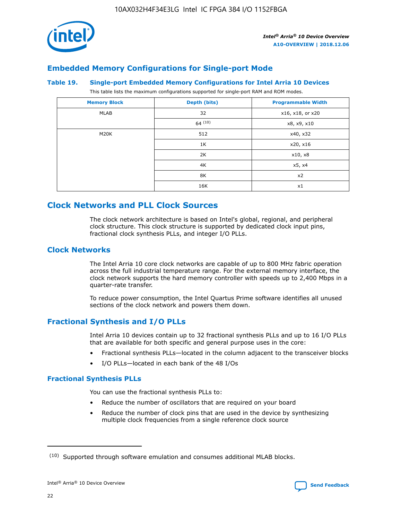

## **Embedded Memory Configurations for Single-port Mode**

#### **Table 19. Single-port Embedded Memory Configurations for Intel Arria 10 Devices**

This table lists the maximum configurations supported for single-port RAM and ROM modes.

| <b>Memory Block</b> | Depth (bits) | <b>Programmable Width</b> |
|---------------------|--------------|---------------------------|
| MLAB                | 32           | x16, x18, or x20          |
|                     | 64(10)       | x8, x9, x10               |
| M20K                | 512          | x40, x32                  |
|                     | 1K           | x20, x16                  |
|                     | 2K           | x10, x8                   |
|                     | 4K           | x5, x4                    |
|                     | 8K           | x2                        |
|                     | 16K          | x1                        |

## **Clock Networks and PLL Clock Sources**

The clock network architecture is based on Intel's global, regional, and peripheral clock structure. This clock structure is supported by dedicated clock input pins, fractional clock synthesis PLLs, and integer I/O PLLs.

## **Clock Networks**

The Intel Arria 10 core clock networks are capable of up to 800 MHz fabric operation across the full industrial temperature range. For the external memory interface, the clock network supports the hard memory controller with speeds up to 2,400 Mbps in a quarter-rate transfer.

To reduce power consumption, the Intel Quartus Prime software identifies all unused sections of the clock network and powers them down.

## **Fractional Synthesis and I/O PLLs**

Intel Arria 10 devices contain up to 32 fractional synthesis PLLs and up to 16 I/O PLLs that are available for both specific and general purpose uses in the core:

- Fractional synthesis PLLs—located in the column adjacent to the transceiver blocks
- I/O PLLs—located in each bank of the 48 I/Os

#### **Fractional Synthesis PLLs**

You can use the fractional synthesis PLLs to:

- Reduce the number of oscillators that are required on your board
- Reduce the number of clock pins that are used in the device by synthesizing multiple clock frequencies from a single reference clock source

<sup>(10)</sup> Supported through software emulation and consumes additional MLAB blocks.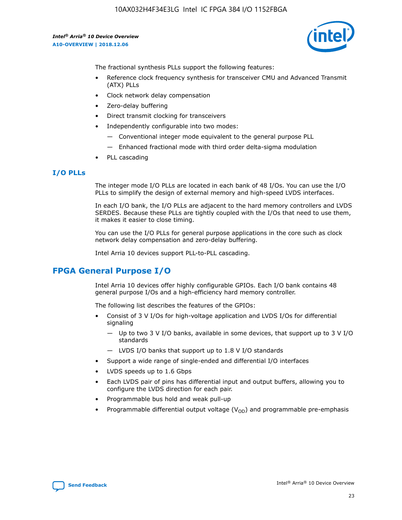

The fractional synthesis PLLs support the following features:

- Reference clock frequency synthesis for transceiver CMU and Advanced Transmit (ATX) PLLs
- Clock network delay compensation
- Zero-delay buffering
- Direct transmit clocking for transceivers
- Independently configurable into two modes:
	- Conventional integer mode equivalent to the general purpose PLL
	- Enhanced fractional mode with third order delta-sigma modulation
- PLL cascading

#### **I/O PLLs**

The integer mode I/O PLLs are located in each bank of 48 I/Os. You can use the I/O PLLs to simplify the design of external memory and high-speed LVDS interfaces.

In each I/O bank, the I/O PLLs are adjacent to the hard memory controllers and LVDS SERDES. Because these PLLs are tightly coupled with the I/Os that need to use them, it makes it easier to close timing.

You can use the I/O PLLs for general purpose applications in the core such as clock network delay compensation and zero-delay buffering.

Intel Arria 10 devices support PLL-to-PLL cascading.

# **FPGA General Purpose I/O**

Intel Arria 10 devices offer highly configurable GPIOs. Each I/O bank contains 48 general purpose I/Os and a high-efficiency hard memory controller.

The following list describes the features of the GPIOs:

- Consist of 3 V I/Os for high-voltage application and LVDS I/Os for differential signaling
	- Up to two 3 V I/O banks, available in some devices, that support up to 3 V I/O standards
	- LVDS I/O banks that support up to 1.8 V I/O standards
- Support a wide range of single-ended and differential I/O interfaces
- LVDS speeds up to 1.6 Gbps
- Each LVDS pair of pins has differential input and output buffers, allowing you to configure the LVDS direction for each pair.
- Programmable bus hold and weak pull-up
- Programmable differential output voltage  $(V_{OD})$  and programmable pre-emphasis

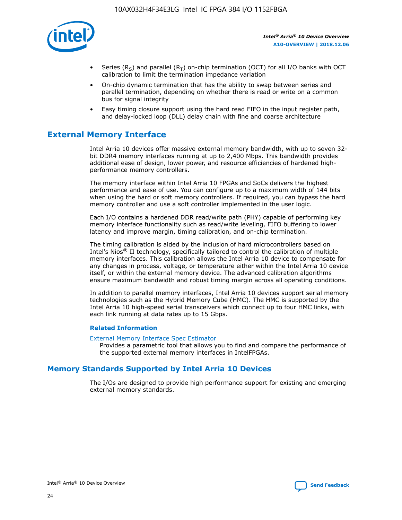

- Series (R<sub>S</sub>) and parallel (R<sub>T</sub>) on-chip termination (OCT) for all I/O banks with OCT calibration to limit the termination impedance variation
- On-chip dynamic termination that has the ability to swap between series and parallel termination, depending on whether there is read or write on a common bus for signal integrity
- Easy timing closure support using the hard read FIFO in the input register path, and delay-locked loop (DLL) delay chain with fine and coarse architecture

# **External Memory Interface**

Intel Arria 10 devices offer massive external memory bandwidth, with up to seven 32 bit DDR4 memory interfaces running at up to 2,400 Mbps. This bandwidth provides additional ease of design, lower power, and resource efficiencies of hardened highperformance memory controllers.

The memory interface within Intel Arria 10 FPGAs and SoCs delivers the highest performance and ease of use. You can configure up to a maximum width of 144 bits when using the hard or soft memory controllers. If required, you can bypass the hard memory controller and use a soft controller implemented in the user logic.

Each I/O contains a hardened DDR read/write path (PHY) capable of performing key memory interface functionality such as read/write leveling, FIFO buffering to lower latency and improve margin, timing calibration, and on-chip termination.

The timing calibration is aided by the inclusion of hard microcontrollers based on Intel's Nios® II technology, specifically tailored to control the calibration of multiple memory interfaces. This calibration allows the Intel Arria 10 device to compensate for any changes in process, voltage, or temperature either within the Intel Arria 10 device itself, or within the external memory device. The advanced calibration algorithms ensure maximum bandwidth and robust timing margin across all operating conditions.

In addition to parallel memory interfaces, Intel Arria 10 devices support serial memory technologies such as the Hybrid Memory Cube (HMC). The HMC is supported by the Intel Arria 10 high-speed serial transceivers which connect up to four HMC links, with each link running at data rates up to 15 Gbps.

#### **Related Information**

#### [External Memory Interface Spec Estimator](http://www.altera.com/technology/memory/estimator/mem-emif-index.html)

Provides a parametric tool that allows you to find and compare the performance of the supported external memory interfaces in IntelFPGAs.

## **Memory Standards Supported by Intel Arria 10 Devices**

The I/Os are designed to provide high performance support for existing and emerging external memory standards.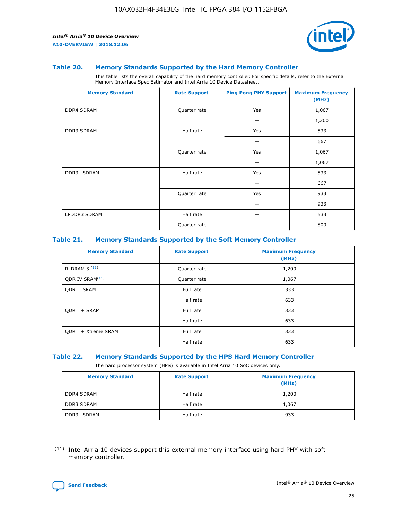

#### **Table 20. Memory Standards Supported by the Hard Memory Controller**

This table lists the overall capability of the hard memory controller. For specific details, refer to the External Memory Interface Spec Estimator and Intel Arria 10 Device Datasheet.

| <b>Memory Standard</b> | <b>Rate Support</b> | <b>Ping Pong PHY Support</b> | <b>Maximum Frequency</b><br>(MHz) |
|------------------------|---------------------|------------------------------|-----------------------------------|
| <b>DDR4 SDRAM</b>      | Quarter rate        | Yes                          | 1,067                             |
|                        |                     |                              | 1,200                             |
| <b>DDR3 SDRAM</b>      | Half rate           | Yes                          | 533                               |
|                        |                     |                              | 667                               |
|                        | Quarter rate        | Yes                          | 1,067                             |
|                        |                     |                              | 1,067                             |
| <b>DDR3L SDRAM</b>     | Half rate           | Yes                          | 533                               |
|                        |                     |                              | 667                               |
|                        | Quarter rate        | Yes                          | 933                               |
|                        |                     |                              | 933                               |
| LPDDR3 SDRAM           | Half rate           |                              | 533                               |
|                        | Quarter rate        |                              | 800                               |

#### **Table 21. Memory Standards Supported by the Soft Memory Controller**

| <b>Memory Standard</b>      | <b>Rate Support</b> | <b>Maximum Frequency</b><br>(MHz) |
|-----------------------------|---------------------|-----------------------------------|
| <b>RLDRAM 3 (11)</b>        | Quarter rate        | 1,200                             |
| ODR IV SRAM <sup>(11)</sup> | Quarter rate        | 1,067                             |
| <b>ODR II SRAM</b>          | Full rate           | 333                               |
|                             | Half rate           | 633                               |
| <b>ODR II+ SRAM</b>         | Full rate           | 333                               |
|                             | Half rate           | 633                               |
| <b>ODR II+ Xtreme SRAM</b>  | Full rate           | 333                               |
|                             | Half rate           | 633                               |

#### **Table 22. Memory Standards Supported by the HPS Hard Memory Controller**

The hard processor system (HPS) is available in Intel Arria 10 SoC devices only.

| <b>Memory Standard</b> | <b>Rate Support</b> | <b>Maximum Frequency</b><br>(MHz) |
|------------------------|---------------------|-----------------------------------|
| <b>DDR4 SDRAM</b>      | Half rate           | 1,200                             |
| <b>DDR3 SDRAM</b>      | Half rate           | 1,067                             |
| <b>DDR3L SDRAM</b>     | Half rate           | 933                               |

<sup>(11)</sup> Intel Arria 10 devices support this external memory interface using hard PHY with soft memory controller.

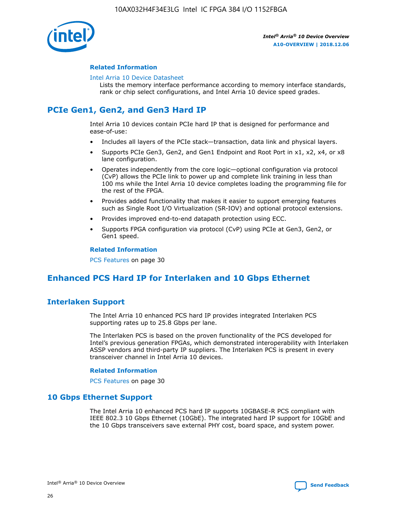

#### **Related Information**

#### [Intel Arria 10 Device Datasheet](https://www.intel.com/content/www/us/en/programmable/documentation/mcn1413182292568.html#mcn1413182153340)

Lists the memory interface performance according to memory interface standards, rank or chip select configurations, and Intel Arria 10 device speed grades.

# **PCIe Gen1, Gen2, and Gen3 Hard IP**

Intel Arria 10 devices contain PCIe hard IP that is designed for performance and ease-of-use:

- Includes all layers of the PCIe stack—transaction, data link and physical layers.
- Supports PCIe Gen3, Gen2, and Gen1 Endpoint and Root Port in x1, x2, x4, or x8 lane configuration.
- Operates independently from the core logic—optional configuration via protocol (CvP) allows the PCIe link to power up and complete link training in less than 100 ms while the Intel Arria 10 device completes loading the programming file for the rest of the FPGA.
- Provides added functionality that makes it easier to support emerging features such as Single Root I/O Virtualization (SR-IOV) and optional protocol extensions.
- Provides improved end-to-end datapath protection using ECC.
- Supports FPGA configuration via protocol (CvP) using PCIe at Gen3, Gen2, or Gen1 speed.

#### **Related Information**

PCS Features on page 30

# **Enhanced PCS Hard IP for Interlaken and 10 Gbps Ethernet**

## **Interlaken Support**

The Intel Arria 10 enhanced PCS hard IP provides integrated Interlaken PCS supporting rates up to 25.8 Gbps per lane.

The Interlaken PCS is based on the proven functionality of the PCS developed for Intel's previous generation FPGAs, which demonstrated interoperability with Interlaken ASSP vendors and third-party IP suppliers. The Interlaken PCS is present in every transceiver channel in Intel Arria 10 devices.

#### **Related Information**

PCS Features on page 30

## **10 Gbps Ethernet Support**

The Intel Arria 10 enhanced PCS hard IP supports 10GBASE-R PCS compliant with IEEE 802.3 10 Gbps Ethernet (10GbE). The integrated hard IP support for 10GbE and the 10 Gbps transceivers save external PHY cost, board space, and system power.

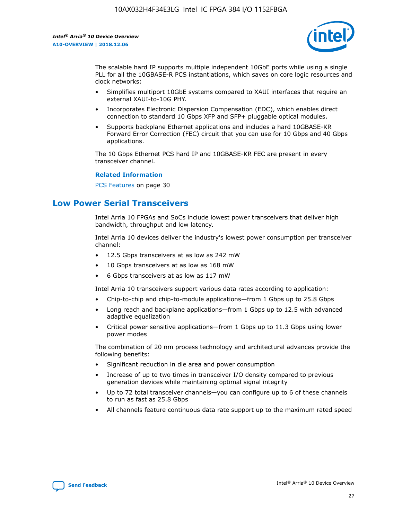

The scalable hard IP supports multiple independent 10GbE ports while using a single PLL for all the 10GBASE-R PCS instantiations, which saves on core logic resources and clock networks:

- Simplifies multiport 10GbE systems compared to XAUI interfaces that require an external XAUI-to-10G PHY.
- Incorporates Electronic Dispersion Compensation (EDC), which enables direct connection to standard 10 Gbps XFP and SFP+ pluggable optical modules.
- Supports backplane Ethernet applications and includes a hard 10GBASE-KR Forward Error Correction (FEC) circuit that you can use for 10 Gbps and 40 Gbps applications.

The 10 Gbps Ethernet PCS hard IP and 10GBASE-KR FEC are present in every transceiver channel.

#### **Related Information**

PCS Features on page 30

# **Low Power Serial Transceivers**

Intel Arria 10 FPGAs and SoCs include lowest power transceivers that deliver high bandwidth, throughput and low latency.

Intel Arria 10 devices deliver the industry's lowest power consumption per transceiver channel:

- 12.5 Gbps transceivers at as low as 242 mW
- 10 Gbps transceivers at as low as 168 mW
- 6 Gbps transceivers at as low as 117 mW

Intel Arria 10 transceivers support various data rates according to application:

- Chip-to-chip and chip-to-module applications—from 1 Gbps up to 25.8 Gbps
- Long reach and backplane applications—from 1 Gbps up to 12.5 with advanced adaptive equalization
- Critical power sensitive applications—from 1 Gbps up to 11.3 Gbps using lower power modes

The combination of 20 nm process technology and architectural advances provide the following benefits:

- Significant reduction in die area and power consumption
- Increase of up to two times in transceiver I/O density compared to previous generation devices while maintaining optimal signal integrity
- Up to 72 total transceiver channels—you can configure up to 6 of these channels to run as fast as 25.8 Gbps
- All channels feature continuous data rate support up to the maximum rated speed

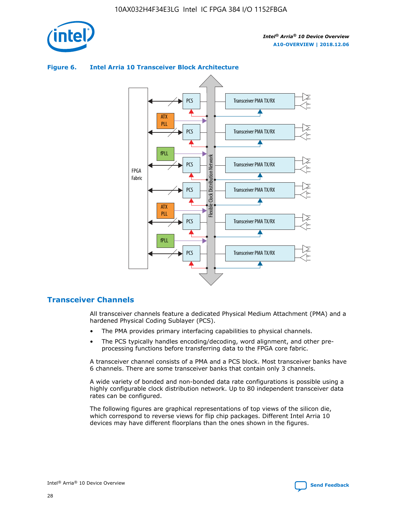

# **Figure 6. Intel Arria 10 Transceiver Block Architecture**



# **Transceiver Channels**

All transceiver channels feature a dedicated Physical Medium Attachment (PMA) and a hardened Physical Coding Sublayer (PCS).

- The PMA provides primary interfacing capabilities to physical channels.
- The PCS typically handles encoding/decoding, word alignment, and other preprocessing functions before transferring data to the FPGA core fabric.

A transceiver channel consists of a PMA and a PCS block. Most transceiver banks have 6 channels. There are some transceiver banks that contain only 3 channels.

A wide variety of bonded and non-bonded data rate configurations is possible using a highly configurable clock distribution network. Up to 80 independent transceiver data rates can be configured.

The following figures are graphical representations of top views of the silicon die, which correspond to reverse views for flip chip packages. Different Intel Arria 10 devices may have different floorplans than the ones shown in the figures.

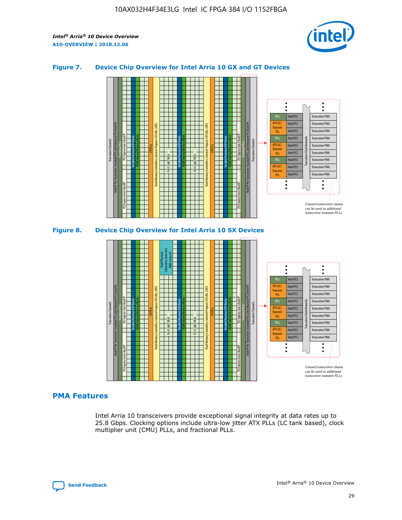

#### **Figure 7. Device Chip Overview for Intel Arria 10 GX and GT Devices**



M20K Internal Memory Blocks Core Logic Fabric Transceiver Channels Hard IP Per Transceiver: Standard PCS and Enhanced PCS Hard IPs PCI Express Gen3 Hard IP Fractional PLLs M20K Internal Memory Blocks PCI Express Gen3 Hard IP Variable Precision DSP Blocks I/O PLLs Hard Memory Controllers, General-Purpose I/O Cells, LVDS Hard Processor Subsystem, Dual-Core ARM Cortex A9 M20K Internal Memory Blocks Variable Precision DSP Blocks M20K Internal Memory Blocks Core Logic Fabric I/O PLLs Hard Memory Controllers, General-Purpose I/O Cells, LVDS M20K Internal Memory Blocks Variable Precision DSP Blocks M20K Internal Memory Blocks Transceiver Channels Hard IP Per Transceiver: Standard PCS and Enhanced PCS Hard IPs PCI Express Gen3 Hard IP Fractional PLLs PCI Express Gen3 Hard IP Hard PCS Hard PCS Hard PCS Hard PCS Hard PCS Hard PCS Hard PCS Hard PCS Transceiver PMA Transceiver PMA Transceiver PMA Transceiver PMA Transceiver PMA Transceiver PMA Unused transceiver chann can be used as additional transceiver transmit PLLs Transceiver PMA Transceiver PMA Transceiver Clock Networks ATX (LC) **Transmit** PLL fPLL ATX (LC) Transmi PLL fPLL ATX (LC) **Transmit** PLL

#### **PMA Features**

Intel Arria 10 transceivers provide exceptional signal integrity at data rates up to 25.8 Gbps. Clocking options include ultra-low jitter ATX PLLs (LC tank based), clock multiplier unit (CMU) PLLs, and fractional PLLs.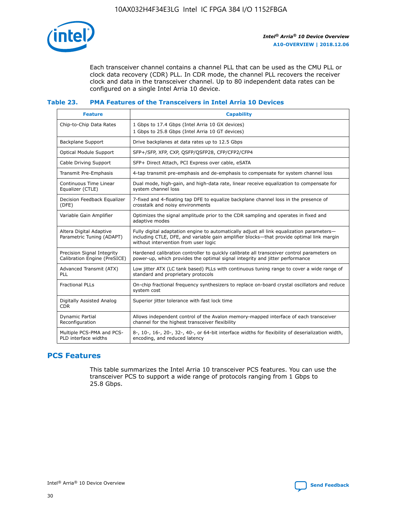

Each transceiver channel contains a channel PLL that can be used as the CMU PLL or clock data recovery (CDR) PLL. In CDR mode, the channel PLL recovers the receiver clock and data in the transceiver channel. Up to 80 independent data rates can be configured on a single Intel Arria 10 device.

### **Table 23. PMA Features of the Transceivers in Intel Arria 10 Devices**

| <b>Feature</b>                                             | <b>Capability</b>                                                                                                                                                                                                             |
|------------------------------------------------------------|-------------------------------------------------------------------------------------------------------------------------------------------------------------------------------------------------------------------------------|
| Chip-to-Chip Data Rates                                    | 1 Gbps to 17.4 Gbps (Intel Arria 10 GX devices)<br>1 Gbps to 25.8 Gbps (Intel Arria 10 GT devices)                                                                                                                            |
| Backplane Support                                          | Drive backplanes at data rates up to 12.5 Gbps                                                                                                                                                                                |
| <b>Optical Module Support</b>                              | SFP+/SFP, XFP, CXP, QSFP/QSFP28, CFP/CFP2/CFP4                                                                                                                                                                                |
| Cable Driving Support                                      | SFP+ Direct Attach, PCI Express over cable, eSATA                                                                                                                                                                             |
| Transmit Pre-Emphasis                                      | 4-tap transmit pre-emphasis and de-emphasis to compensate for system channel loss                                                                                                                                             |
| Continuous Time Linear<br>Equalizer (CTLE)                 | Dual mode, high-gain, and high-data rate, linear receive equalization to compensate for<br>system channel loss                                                                                                                |
| Decision Feedback Equalizer<br>(DFE)                       | 7-fixed and 4-floating tap DFE to equalize backplane channel loss in the presence of<br>crosstalk and noisy environments                                                                                                      |
| Variable Gain Amplifier                                    | Optimizes the signal amplitude prior to the CDR sampling and operates in fixed and<br>adaptive modes                                                                                                                          |
| Altera Digital Adaptive<br>Parametric Tuning (ADAPT)       | Fully digital adaptation engine to automatically adjust all link equalization parameters-<br>including CTLE, DFE, and variable gain amplifier blocks—that provide optimal link margin<br>without intervention from user logic |
| Precision Signal Integrity<br>Calibration Engine (PreSICE) | Hardened calibration controller to quickly calibrate all transceiver control parameters on<br>power-up, which provides the optimal signal integrity and jitter performance                                                    |
| Advanced Transmit (ATX)<br>PLL                             | Low jitter ATX (LC tank based) PLLs with continuous tuning range to cover a wide range of<br>standard and proprietary protocols                                                                                               |
| <b>Fractional PLLs</b>                                     | On-chip fractional frequency synthesizers to replace on-board crystal oscillators and reduce<br>system cost                                                                                                                   |
| Digitally Assisted Analog<br><b>CDR</b>                    | Superior jitter tolerance with fast lock time                                                                                                                                                                                 |
| Dynamic Partial<br>Reconfiguration                         | Allows independent control of the Avalon memory-mapped interface of each transceiver<br>channel for the highest transceiver flexibility                                                                                       |
| Multiple PCS-PMA and PCS-<br>PLD interface widths          | 8-, 10-, 16-, 20-, 32-, 40-, or 64-bit interface widths for flexibility of deserialization width,<br>encoding, and reduced latency                                                                                            |

## **PCS Features**

This table summarizes the Intel Arria 10 transceiver PCS features. You can use the transceiver PCS to support a wide range of protocols ranging from 1 Gbps to 25.8 Gbps.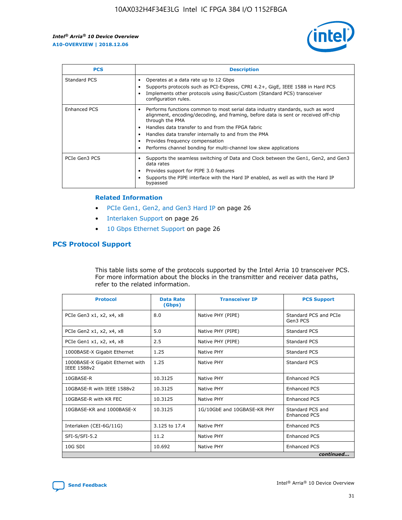

| <b>PCS</b>          | <b>Description</b>                                                                                                                                                                                                                                                                                                                                                                                             |
|---------------------|----------------------------------------------------------------------------------------------------------------------------------------------------------------------------------------------------------------------------------------------------------------------------------------------------------------------------------------------------------------------------------------------------------------|
| Standard PCS        | Operates at a data rate up to 12 Gbps<br>Supports protocols such as PCI-Express, CPRI 4.2+, GigE, IEEE 1588 in Hard PCS<br>Implements other protocols using Basic/Custom (Standard PCS) transceiver<br>configuration rules.                                                                                                                                                                                    |
| <b>Enhanced PCS</b> | Performs functions common to most serial data industry standards, such as word<br>alignment, encoding/decoding, and framing, before data is sent or received off-chip<br>through the PMA<br>• Handles data transfer to and from the FPGA fabric<br>Handles data transfer internally to and from the PMA<br>Provides frequency compensation<br>Performs channel bonding for multi-channel low skew applications |
| PCIe Gen3 PCS       | Supports the seamless switching of Data and Clock between the Gen1, Gen2, and Gen3<br>data rates<br>Provides support for PIPE 3.0 features<br>Supports the PIPE interface with the Hard IP enabled, as well as with the Hard IP<br>bypassed                                                                                                                                                                    |

#### **Related Information**

- PCIe Gen1, Gen2, and Gen3 Hard IP on page 26
- Interlaken Support on page 26
- 10 Gbps Ethernet Support on page 26

## **PCS Protocol Support**

This table lists some of the protocols supported by the Intel Arria 10 transceiver PCS. For more information about the blocks in the transmitter and receiver data paths, refer to the related information.

| <b>Protocol</b>                                 | <b>Data Rate</b><br>(Gbps) | <b>Transceiver IP</b>       | <b>PCS Support</b>                      |
|-------------------------------------------------|----------------------------|-----------------------------|-----------------------------------------|
| PCIe Gen3 x1, x2, x4, x8                        | 8.0                        | Native PHY (PIPE)           | Standard PCS and PCIe<br>Gen3 PCS       |
| PCIe Gen2 x1, x2, x4, x8                        | 5.0                        | Native PHY (PIPE)           | <b>Standard PCS</b>                     |
| PCIe Gen1 x1, x2, x4, x8                        | 2.5                        | Native PHY (PIPE)           | Standard PCS                            |
| 1000BASE-X Gigabit Ethernet                     | 1.25                       | Native PHY                  | <b>Standard PCS</b>                     |
| 1000BASE-X Gigabit Ethernet with<br>IEEE 1588v2 | 1.25                       | Native PHY                  | Standard PCS                            |
| 10GBASE-R                                       | 10.3125                    | Native PHY                  | <b>Enhanced PCS</b>                     |
| 10GBASE-R with IEEE 1588v2                      | 10.3125                    | Native PHY                  | <b>Enhanced PCS</b>                     |
| 10GBASE-R with KR FEC                           | 10.3125                    | Native PHY                  | <b>Enhanced PCS</b>                     |
| 10GBASE-KR and 1000BASE-X                       | 10.3125                    | 1G/10GbE and 10GBASE-KR PHY | Standard PCS and<br><b>Enhanced PCS</b> |
| Interlaken (CEI-6G/11G)                         | 3.125 to 17.4              | Native PHY                  | <b>Enhanced PCS</b>                     |
| SFI-S/SFI-5.2                                   | 11.2                       | Native PHY                  | <b>Enhanced PCS</b>                     |
| $10G$ SDI                                       | 10.692                     | Native PHY                  | <b>Enhanced PCS</b>                     |
|                                                 |                            |                             | continued                               |

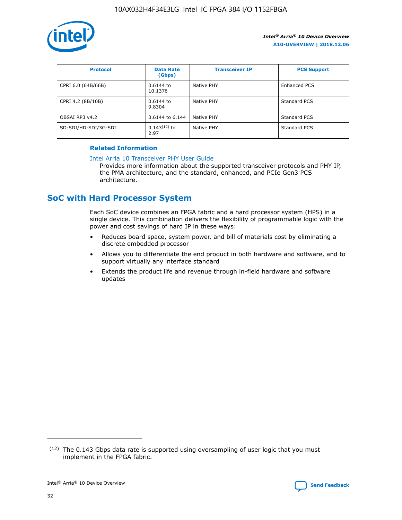

| <b>Protocol</b>      | <b>Data Rate</b><br>(Gbps) | <b>Transceiver IP</b> | <b>PCS Support</b> |
|----------------------|----------------------------|-----------------------|--------------------|
| CPRI 6.0 (64B/66B)   | 0.6144 to<br>10.1376       | Native PHY            | Enhanced PCS       |
| CPRI 4.2 (8B/10B)    | 0.6144 to<br>9.8304        | Native PHY            | Standard PCS       |
| OBSAI RP3 v4.2       | 0.6144 to 6.144            | Native PHY            | Standard PCS       |
| SD-SDI/HD-SDI/3G-SDI | $0.143(12)$ to<br>2.97     | Native PHY            | Standard PCS       |

#### **Related Information**

#### [Intel Arria 10 Transceiver PHY User Guide](https://www.intel.com/content/www/us/en/programmable/documentation/nik1398707230472.html#nik1398707091164)

Provides more information about the supported transceiver protocols and PHY IP, the PMA architecture, and the standard, enhanced, and PCIe Gen3 PCS architecture.

# **SoC with Hard Processor System**

Each SoC device combines an FPGA fabric and a hard processor system (HPS) in a single device. This combination delivers the flexibility of programmable logic with the power and cost savings of hard IP in these ways:

- Reduces board space, system power, and bill of materials cost by eliminating a discrete embedded processor
- Allows you to differentiate the end product in both hardware and software, and to support virtually any interface standard
- Extends the product life and revenue through in-field hardware and software updates

 $(12)$  The 0.143 Gbps data rate is supported using oversampling of user logic that you must implement in the FPGA fabric.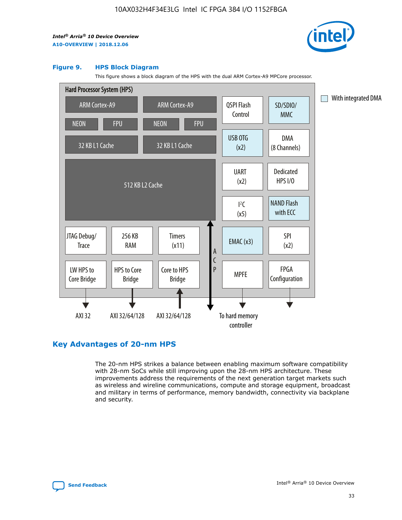

#### **Figure 9. HPS Block Diagram**

This figure shows a block diagram of the HPS with the dual ARM Cortex-A9 MPCore processor.



## **Key Advantages of 20-nm HPS**

The 20-nm HPS strikes a balance between enabling maximum software compatibility with 28-nm SoCs while still improving upon the 28-nm HPS architecture. These improvements address the requirements of the next generation target markets such as wireless and wireline communications, compute and storage equipment, broadcast and military in terms of performance, memory bandwidth, connectivity via backplane and security.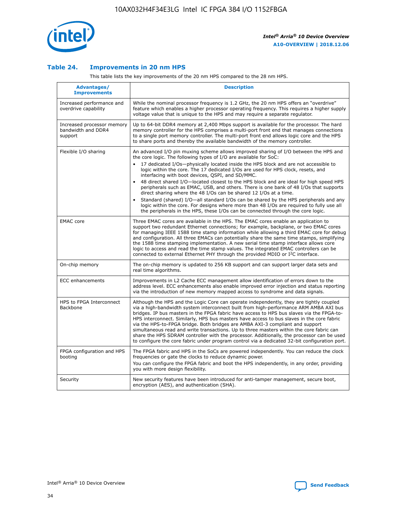

### **Table 24. Improvements in 20 nm HPS**

This table lists the key improvements of the 20 nm HPS compared to the 28 nm HPS.

| Advantages/<br><b>Improvements</b>                          | <b>Description</b>                                                                                                                                                                                                                                                                                                                                                                                                                                                                                                                                                                                                                                                                                                                                                                                                                                                                                                                                |
|-------------------------------------------------------------|---------------------------------------------------------------------------------------------------------------------------------------------------------------------------------------------------------------------------------------------------------------------------------------------------------------------------------------------------------------------------------------------------------------------------------------------------------------------------------------------------------------------------------------------------------------------------------------------------------------------------------------------------------------------------------------------------------------------------------------------------------------------------------------------------------------------------------------------------------------------------------------------------------------------------------------------------|
| Increased performance and<br>overdrive capability           | While the nominal processor frequency is 1.2 GHz, the 20 nm HPS offers an "overdrive"<br>feature which enables a higher processor operating frequency. This requires a higher supply<br>voltage value that is unique to the HPS and may require a separate regulator.                                                                                                                                                                                                                                                                                                                                                                                                                                                                                                                                                                                                                                                                             |
| Increased processor memory<br>bandwidth and DDR4<br>support | Up to 64-bit DDR4 memory at 2,400 Mbps support is available for the processor. The hard<br>memory controller for the HPS comprises a multi-port front end that manages connections<br>to a single port memory controller. The multi-port front end allows logic core and the HPS<br>to share ports and thereby the available bandwidth of the memory controller.                                                                                                                                                                                                                                                                                                                                                                                                                                                                                                                                                                                  |
| Flexible I/O sharing                                        | An advanced I/O pin muxing scheme allows improved sharing of I/O between the HPS and<br>the core logic. The following types of I/O are available for SoC:<br>$\bullet$<br>17 dedicated I/Os-physically located inside the HPS block and are not accessible to<br>logic within the core. The 17 dedicated I/Os are used for HPS clock, resets, and<br>interfacing with boot devices, QSPI, and SD/MMC.<br>48 direct shared I/O-located closest to the HPS block and are ideal for high speed HPS<br>$\bullet$<br>peripherals such as EMAC, USB, and others. There is one bank of 48 I/Os that supports<br>direct sharing where the 48 I/Os can be shared 12 I/Os at a time.<br>Standard (shared) I/O-all standard I/Os can be shared by the HPS peripherals and any<br>logic within the core. For designs where more than 48 I/Os are required to fully use all<br>the peripherals in the HPS, these I/Os can be connected through the core logic. |
| <b>EMAC</b> core                                            | Three EMAC cores are available in the HPS. The EMAC cores enable an application to<br>support two redundant Ethernet connections; for example, backplane, or two EMAC cores<br>for managing IEEE 1588 time stamp information while allowing a third EMAC core for debug<br>and configuration. All three EMACs can potentially share the same time stamps, simplifying<br>the 1588 time stamping implementation. A new serial time stamp interface allows core<br>logic to access and read the time stamp values. The integrated EMAC controllers can be<br>connected to external Ethernet PHY through the provided MDIO or I <sup>2</sup> C interface.                                                                                                                                                                                                                                                                                            |
| On-chip memory                                              | The on-chip memory is updated to 256 KB support and can support larger data sets and<br>real time algorithms.                                                                                                                                                                                                                                                                                                                                                                                                                                                                                                                                                                                                                                                                                                                                                                                                                                     |
| <b>ECC</b> enhancements                                     | Improvements in L2 Cache ECC management allow identification of errors down to the<br>address level. ECC enhancements also enable improved error injection and status reporting<br>via the introduction of new memory mapped access to syndrome and data signals.                                                                                                                                                                                                                                                                                                                                                                                                                                                                                                                                                                                                                                                                                 |
| HPS to FPGA Interconnect<br>Backbone                        | Although the HPS and the Logic Core can operate independently, they are tightly coupled<br>via a high-bandwidth system interconnect built from high-performance ARM AMBA AXI bus<br>bridges. IP bus masters in the FPGA fabric have access to HPS bus slaves via the FPGA-to-<br>HPS interconnect. Similarly, HPS bus masters have access to bus slaves in the core fabric<br>via the HPS-to-FPGA bridge. Both bridges are AMBA AXI-3 compliant and support<br>simultaneous read and write transactions. Up to three masters within the core fabric can<br>share the HPS SDRAM controller with the processor. Additionally, the processor can be used<br>to configure the core fabric under program control via a dedicated 32-bit configuration port.                                                                                                                                                                                            |
| FPGA configuration and HPS<br>booting                       | The FPGA fabric and HPS in the SoCs are powered independently. You can reduce the clock<br>frequencies or gate the clocks to reduce dynamic power.<br>You can configure the FPGA fabric and boot the HPS independently, in any order, providing<br>you with more design flexibility.                                                                                                                                                                                                                                                                                                                                                                                                                                                                                                                                                                                                                                                              |
| Security                                                    | New security features have been introduced for anti-tamper management, secure boot,<br>encryption (AES), and authentication (SHA).                                                                                                                                                                                                                                                                                                                                                                                                                                                                                                                                                                                                                                                                                                                                                                                                                |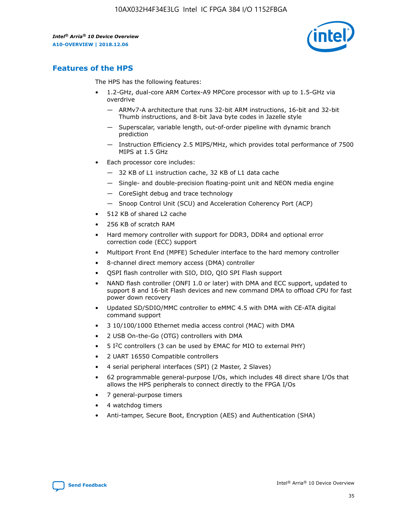

## **Features of the HPS**

The HPS has the following features:

- 1.2-GHz, dual-core ARM Cortex-A9 MPCore processor with up to 1.5-GHz via overdrive
	- ARMv7-A architecture that runs 32-bit ARM instructions, 16-bit and 32-bit Thumb instructions, and 8-bit Java byte codes in Jazelle style
	- Superscalar, variable length, out-of-order pipeline with dynamic branch prediction
	- Instruction Efficiency 2.5 MIPS/MHz, which provides total performance of 7500 MIPS at 1.5 GHz
- Each processor core includes:
	- 32 KB of L1 instruction cache, 32 KB of L1 data cache
	- Single- and double-precision floating-point unit and NEON media engine
	- CoreSight debug and trace technology
	- Snoop Control Unit (SCU) and Acceleration Coherency Port (ACP)
- 512 KB of shared L2 cache
- 256 KB of scratch RAM
- Hard memory controller with support for DDR3, DDR4 and optional error correction code (ECC) support
- Multiport Front End (MPFE) Scheduler interface to the hard memory controller
- 8-channel direct memory access (DMA) controller
- QSPI flash controller with SIO, DIO, QIO SPI Flash support
- NAND flash controller (ONFI 1.0 or later) with DMA and ECC support, updated to support 8 and 16-bit Flash devices and new command DMA to offload CPU for fast power down recovery
- Updated SD/SDIO/MMC controller to eMMC 4.5 with DMA with CE-ATA digital command support
- 3 10/100/1000 Ethernet media access control (MAC) with DMA
- 2 USB On-the-Go (OTG) controllers with DMA
- $\bullet$  5 I<sup>2</sup>C controllers (3 can be used by EMAC for MIO to external PHY)
- 2 UART 16550 Compatible controllers
- 4 serial peripheral interfaces (SPI) (2 Master, 2 Slaves)
- 62 programmable general-purpose I/Os, which includes 48 direct share I/Os that allows the HPS peripherals to connect directly to the FPGA I/Os
- 7 general-purpose timers
- 4 watchdog timers
- Anti-tamper, Secure Boot, Encryption (AES) and Authentication (SHA)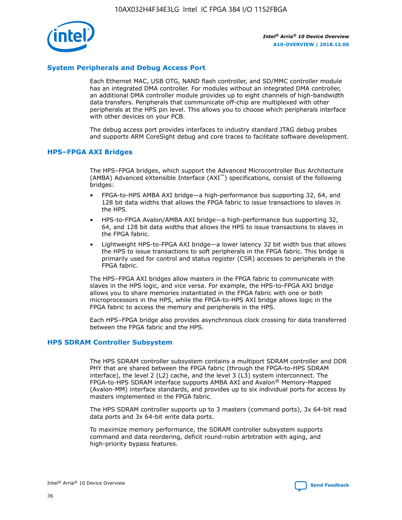

## **System Peripherals and Debug Access Port**

Each Ethernet MAC, USB OTG, NAND flash controller, and SD/MMC controller module has an integrated DMA controller. For modules without an integrated DMA controller, an additional DMA controller module provides up to eight channels of high-bandwidth data transfers. Peripherals that communicate off-chip are multiplexed with other peripherals at the HPS pin level. This allows you to choose which peripherals interface with other devices on your PCB.

The debug access port provides interfaces to industry standard JTAG debug probes and supports ARM CoreSight debug and core traces to facilitate software development.

#### **HPS–FPGA AXI Bridges**

The HPS–FPGA bridges, which support the Advanced Microcontroller Bus Architecture (AMBA) Advanced eXtensible Interface (AXI™) specifications, consist of the following bridges:

- FPGA-to-HPS AMBA AXI bridge—a high-performance bus supporting 32, 64, and 128 bit data widths that allows the FPGA fabric to issue transactions to slaves in the HPS.
- HPS-to-FPGA Avalon/AMBA AXI bridge—a high-performance bus supporting 32, 64, and 128 bit data widths that allows the HPS to issue transactions to slaves in the FPGA fabric.
- Lightweight HPS-to-FPGA AXI bridge—a lower latency 32 bit width bus that allows the HPS to issue transactions to soft peripherals in the FPGA fabric. This bridge is primarily used for control and status register (CSR) accesses to peripherals in the FPGA fabric.

The HPS–FPGA AXI bridges allow masters in the FPGA fabric to communicate with slaves in the HPS logic, and vice versa. For example, the HPS-to-FPGA AXI bridge allows you to share memories instantiated in the FPGA fabric with one or both microprocessors in the HPS, while the FPGA-to-HPS AXI bridge allows logic in the FPGA fabric to access the memory and peripherals in the HPS.

Each HPS–FPGA bridge also provides asynchronous clock crossing for data transferred between the FPGA fabric and the HPS.

#### **HPS SDRAM Controller Subsystem**

The HPS SDRAM controller subsystem contains a multiport SDRAM controller and DDR PHY that are shared between the FPGA fabric (through the FPGA-to-HPS SDRAM interface), the level 2 (L2) cache, and the level 3 (L3) system interconnect. The FPGA-to-HPS SDRAM interface supports AMBA AXI and Avalon® Memory-Mapped (Avalon-MM) interface standards, and provides up to six individual ports for access by masters implemented in the FPGA fabric.

The HPS SDRAM controller supports up to 3 masters (command ports), 3x 64-bit read data ports and 3x 64-bit write data ports.

To maximize memory performance, the SDRAM controller subsystem supports command and data reordering, deficit round-robin arbitration with aging, and high-priority bypass features.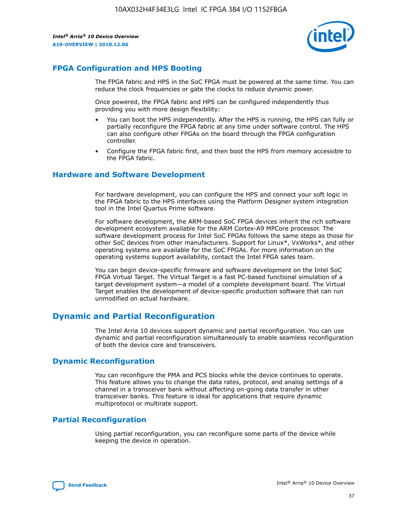

## **FPGA Configuration and HPS Booting**

The FPGA fabric and HPS in the SoC FPGA must be powered at the same time. You can reduce the clock frequencies or gate the clocks to reduce dynamic power.

Once powered, the FPGA fabric and HPS can be configured independently thus providing you with more design flexibility:

- You can boot the HPS independently. After the HPS is running, the HPS can fully or partially reconfigure the FPGA fabric at any time under software control. The HPS can also configure other FPGAs on the board through the FPGA configuration controller.
- Configure the FPGA fabric first, and then boot the HPS from memory accessible to the FPGA fabric.

## **Hardware and Software Development**

For hardware development, you can configure the HPS and connect your soft logic in the FPGA fabric to the HPS interfaces using the Platform Designer system integration tool in the Intel Quartus Prime software.

For software development, the ARM-based SoC FPGA devices inherit the rich software development ecosystem available for the ARM Cortex-A9 MPCore processor. The software development process for Intel SoC FPGAs follows the same steps as those for other SoC devices from other manufacturers. Support for Linux\*, VxWorks\*, and other operating systems are available for the SoC FPGAs. For more information on the operating systems support availability, contact the Intel FPGA sales team.

You can begin device-specific firmware and software development on the Intel SoC FPGA Virtual Target. The Virtual Target is a fast PC-based functional simulation of a target development system—a model of a complete development board. The Virtual Target enables the development of device-specific production software that can run unmodified on actual hardware.

## **Dynamic and Partial Reconfiguration**

The Intel Arria 10 devices support dynamic and partial reconfiguration. You can use dynamic and partial reconfiguration simultaneously to enable seamless reconfiguration of both the device core and transceivers.

## **Dynamic Reconfiguration**

You can reconfigure the PMA and PCS blocks while the device continues to operate. This feature allows you to change the data rates, protocol, and analog settings of a channel in a transceiver bank without affecting on-going data transfer in other transceiver banks. This feature is ideal for applications that require dynamic multiprotocol or multirate support.

## **Partial Reconfiguration**

Using partial reconfiguration, you can reconfigure some parts of the device while keeping the device in operation.

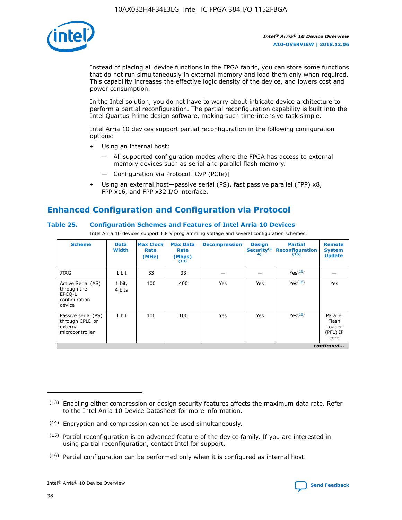

Instead of placing all device functions in the FPGA fabric, you can store some functions that do not run simultaneously in external memory and load them only when required. This capability increases the effective logic density of the device, and lowers cost and power consumption.

In the Intel solution, you do not have to worry about intricate device architecture to perform a partial reconfiguration. The partial reconfiguration capability is built into the Intel Quartus Prime design software, making such time-intensive task simple.

Intel Arria 10 devices support partial reconfiguration in the following configuration options:

- Using an internal host:
	- All supported configuration modes where the FPGA has access to external memory devices such as serial and parallel flash memory.
	- Configuration via Protocol [CvP (PCIe)]
- Using an external host—passive serial (PS), fast passive parallel (FPP) x8, FPP x16, and FPP x32 I/O interface.

# **Enhanced Configuration and Configuration via Protocol**

#### **Table 25. Configuration Schemes and Features of Intel Arria 10 Devices**

Intel Arria 10 devices support 1.8 V programming voltage and several configuration schemes.

| <b>Scheme</b>                                                          | <b>Data</b><br><b>Width</b> | <b>Max Clock</b><br>Rate<br>(MHz) | <b>Max Data</b><br>Rate<br>(Mbps)<br>(13) | <b>Decompression</b> | <b>Design</b><br>Security <sup>(1</sup><br>4) | <b>Partial</b><br>Reconfiguration<br>(15) | <b>Remote</b><br><b>System</b><br><b>Update</b> |
|------------------------------------------------------------------------|-----------------------------|-----------------------------------|-------------------------------------------|----------------------|-----------------------------------------------|-------------------------------------------|-------------------------------------------------|
| <b>JTAG</b>                                                            | 1 bit                       | 33                                | 33                                        |                      |                                               | Yes(16)                                   |                                                 |
| Active Serial (AS)<br>through the<br>EPCO-L<br>configuration<br>device | 1 bit,<br>4 bits            | 100                               | 400                                       | Yes                  | Yes                                           | Yes(16)                                   | Yes                                             |
| Passive serial (PS)<br>through CPLD or<br>external<br>microcontroller  | 1 bit                       | 100                               | 100                                       | Yes                  | Yes                                           | Yes <sup>(16)</sup>                       | Parallel<br>Flash<br>Loader<br>(PFL) IP<br>core |
|                                                                        |                             |                                   |                                           |                      |                                               |                                           | continued                                       |

<sup>(13)</sup> Enabling either compression or design security features affects the maximum data rate. Refer to the Intel Arria 10 Device Datasheet for more information.

<sup>(14)</sup> Encryption and compression cannot be used simultaneously.

 $(15)$  Partial reconfiguration is an advanced feature of the device family. If you are interested in using partial reconfiguration, contact Intel for support.

 $(16)$  Partial configuration can be performed only when it is configured as internal host.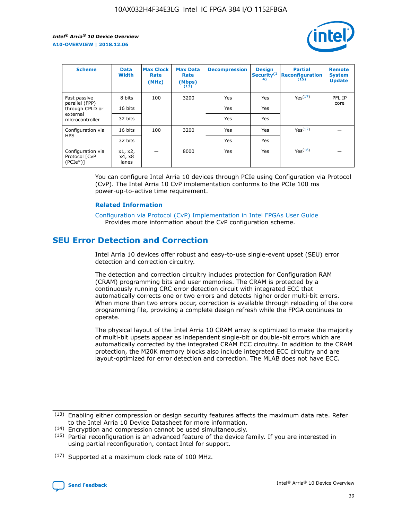

| <b>Scheme</b>                                   | <b>Data</b><br><b>Width</b> | <b>Max Clock</b><br>Rate<br>(MHz) | <b>Max Data</b><br>Rate<br>(Mbps)<br>(13) | <b>Decompression</b> | <b>Design</b><br>Security <sup>(1</sup><br>4) | <b>Partial</b><br><b>Reconfiguration</b><br>(15) | <b>Remote</b><br><b>System</b><br><b>Update</b> |
|-------------------------------------------------|-----------------------------|-----------------------------------|-------------------------------------------|----------------------|-----------------------------------------------|--------------------------------------------------|-------------------------------------------------|
| Fast passive                                    | 8 bits                      | 100                               | 3200                                      | Yes                  | Yes                                           | Yes(17)                                          | PFL IP                                          |
| parallel (FPP)<br>through CPLD or               | 16 bits                     |                                   |                                           | Yes                  | Yes                                           |                                                  | core                                            |
| external<br>microcontroller                     | 32 bits                     |                                   |                                           | Yes                  | Yes                                           |                                                  |                                                 |
| Configuration via                               | 16 bits                     | 100                               | 3200                                      | Yes                  | Yes                                           | Yes <sup>(17)</sup>                              |                                                 |
| <b>HPS</b>                                      | 32 bits                     |                                   |                                           | Yes                  | Yes                                           |                                                  |                                                 |
| Configuration via<br>Protocol [CvP<br>$(PCIe*)$ | x1, x2,<br>x4, x8<br>lanes  |                                   | 8000                                      | Yes                  | Yes                                           | Yes <sup>(16)</sup>                              |                                                 |

You can configure Intel Arria 10 devices through PCIe using Configuration via Protocol (CvP). The Intel Arria 10 CvP implementation conforms to the PCIe 100 ms power-up-to-active time requirement.

#### **Related Information**

[Configuration via Protocol \(CvP\) Implementation in Intel FPGAs User Guide](https://www.intel.com/content/www/us/en/programmable/documentation/dsu1441819344145.html#dsu1442269728522) Provides more information about the CvP configuration scheme.

# **SEU Error Detection and Correction**

Intel Arria 10 devices offer robust and easy-to-use single-event upset (SEU) error detection and correction circuitry.

The detection and correction circuitry includes protection for Configuration RAM (CRAM) programming bits and user memories. The CRAM is protected by a continuously running CRC error detection circuit with integrated ECC that automatically corrects one or two errors and detects higher order multi-bit errors. When more than two errors occur, correction is available through reloading of the core programming file, providing a complete design refresh while the FPGA continues to operate.

The physical layout of the Intel Arria 10 CRAM array is optimized to make the majority of multi-bit upsets appear as independent single-bit or double-bit errors which are automatically corrected by the integrated CRAM ECC circuitry. In addition to the CRAM protection, the M20K memory blocks also include integrated ECC circuitry and are layout-optimized for error detection and correction. The MLAB does not have ECC.

(14) Encryption and compression cannot be used simultaneously.

<sup>(17)</sup> Supported at a maximum clock rate of 100 MHz.



 $(13)$  Enabling either compression or design security features affects the maximum data rate. Refer to the Intel Arria 10 Device Datasheet for more information.

 $(15)$  Partial reconfiguration is an advanced feature of the device family. If you are interested in using partial reconfiguration, contact Intel for support.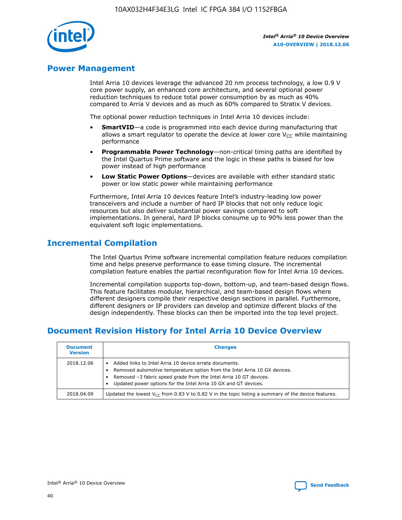

## **Power Management**

Intel Arria 10 devices leverage the advanced 20 nm process technology, a low 0.9 V core power supply, an enhanced core architecture, and several optional power reduction techniques to reduce total power consumption by as much as 40% compared to Arria V devices and as much as 60% compared to Stratix V devices.

The optional power reduction techniques in Intel Arria 10 devices include:

- **SmartVID**—a code is programmed into each device during manufacturing that allows a smart regulator to operate the device at lower core  $V_{CC}$  while maintaining performance
- **Programmable Power Technology**—non-critical timing paths are identified by the Intel Quartus Prime software and the logic in these paths is biased for low power instead of high performance
- **Low Static Power Options**—devices are available with either standard static power or low static power while maintaining performance

Furthermore, Intel Arria 10 devices feature Intel's industry-leading low power transceivers and include a number of hard IP blocks that not only reduce logic resources but also deliver substantial power savings compared to soft implementations. In general, hard IP blocks consume up to 90% less power than the equivalent soft logic implementations.

# **Incremental Compilation**

The Intel Quartus Prime software incremental compilation feature reduces compilation time and helps preserve performance to ease timing closure. The incremental compilation feature enables the partial reconfiguration flow for Intel Arria 10 devices.

Incremental compilation supports top-down, bottom-up, and team-based design flows. This feature facilitates modular, hierarchical, and team-based design flows where different designers compile their respective design sections in parallel. Furthermore, different designers or IP providers can develop and optimize different blocks of the design independently. These blocks can then be imported into the top level project.

# **Document Revision History for Intel Arria 10 Device Overview**

| <b>Document</b><br><b>Version</b> | <b>Changes</b>                                                                                                                                                                                                                                                              |
|-----------------------------------|-----------------------------------------------------------------------------------------------------------------------------------------------------------------------------------------------------------------------------------------------------------------------------|
| 2018.12.06                        | Added links to Intel Arria 10 device errata documents.<br>Removed automotive temperature option from the Intel Arria 10 GX devices.<br>Removed -3 fabric speed grade from the Intel Arria 10 GT devices.<br>Updated power options for the Intel Arria 10 GX and GT devices. |
| 2018.04.09                        | Updated the lowest $V_{CC}$ from 0.83 V to 0.82 V in the topic listing a summary of the device features.                                                                                                                                                                    |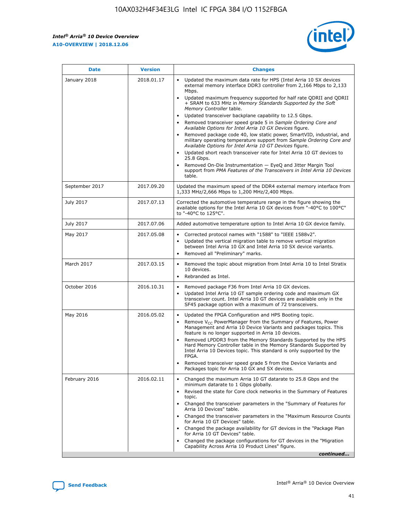*Intel® Arria® 10 Device Overview* **A10-OVERVIEW | 2018.12.06**



| <b>Date</b>    | <b>Version</b> | <b>Changes</b>                                                                                                                                                                                                                                                                                                                                                                                                                                                                                                                                                                                                                                                                                                                                                                                                                                                                                                                                                                         |
|----------------|----------------|----------------------------------------------------------------------------------------------------------------------------------------------------------------------------------------------------------------------------------------------------------------------------------------------------------------------------------------------------------------------------------------------------------------------------------------------------------------------------------------------------------------------------------------------------------------------------------------------------------------------------------------------------------------------------------------------------------------------------------------------------------------------------------------------------------------------------------------------------------------------------------------------------------------------------------------------------------------------------------------|
| January 2018   | 2018.01.17     | Updated the maximum data rate for HPS (Intel Arria 10 SX devices<br>external memory interface DDR3 controller from 2,166 Mbps to 2,133<br>Mbps.<br>Updated maximum frequency supported for half rate QDRII and QDRII<br>+ SRAM to 633 MHz in Memory Standards Supported by the Soft<br>Memory Controller table.<br>Updated transceiver backplane capability to 12.5 Gbps.<br>$\bullet$<br>Removed transceiver speed grade 5 in Sample Ordering Core and<br>$\bullet$<br>Available Options for Intel Arria 10 GX Devices figure.<br>Removed package code 40, low static power, SmartVID, industrial, and<br>military operating temperature support from Sample Ordering Core and<br>Available Options for Intel Arria 10 GT Devices figure.<br>Updated short reach transceiver rate for Intel Arria 10 GT devices to<br>25.8 Gbps.<br>Removed On-Die Instrumentation - EyeQ and Jitter Margin Tool<br>support from PMA Features of the Transceivers in Intel Arria 10 Devices<br>table. |
| September 2017 | 2017.09.20     | Updated the maximum speed of the DDR4 external memory interface from<br>1,333 MHz/2,666 Mbps to 1,200 MHz/2,400 Mbps.                                                                                                                                                                                                                                                                                                                                                                                                                                                                                                                                                                                                                                                                                                                                                                                                                                                                  |
| July 2017      | 2017.07.13     | Corrected the automotive temperature range in the figure showing the<br>available options for the Intel Arria 10 GX devices from "-40°C to 100°C"<br>to "-40°C to 125°C".                                                                                                                                                                                                                                                                                                                                                                                                                                                                                                                                                                                                                                                                                                                                                                                                              |
| July 2017      | 2017.07.06     | Added automotive temperature option to Intel Arria 10 GX device family.                                                                                                                                                                                                                                                                                                                                                                                                                                                                                                                                                                                                                                                                                                                                                                                                                                                                                                                |
| May 2017       | 2017.05.08     | Corrected protocol names with "1588" to "IEEE 1588v2".<br>$\bullet$<br>Updated the vertical migration table to remove vertical migration<br>$\bullet$<br>between Intel Arria 10 GX and Intel Arria 10 SX device variants.<br>Removed all "Preliminary" marks.<br>$\bullet$                                                                                                                                                                                                                                                                                                                                                                                                                                                                                                                                                                                                                                                                                                             |
| March 2017     | 2017.03.15     | Removed the topic about migration from Intel Arria 10 to Intel Stratix<br>$\bullet$<br>10 devices.<br>Rebranded as Intel.<br>$\bullet$                                                                                                                                                                                                                                                                                                                                                                                                                                                                                                                                                                                                                                                                                                                                                                                                                                                 |
| October 2016   | 2016.10.31     | Removed package F36 from Intel Arria 10 GX devices.<br>Updated Intel Arria 10 GT sample ordering code and maximum GX<br>$\bullet$<br>transceiver count. Intel Arria 10 GT devices are available only in the<br>SF45 package option with a maximum of 72 transceivers.                                                                                                                                                                                                                                                                                                                                                                                                                                                                                                                                                                                                                                                                                                                  |
| May 2016       | 2016.05.02     | Updated the FPGA Configuration and HPS Booting topic.<br>$\bullet$<br>Remove V <sub>CC</sub> PowerManager from the Summary of Features, Power<br>Management and Arria 10 Device Variants and packages topics. This<br>feature is no longer supported in Arria 10 devices.<br>Removed LPDDR3 from the Memory Standards Supported by the HPS<br>Hard Memory Controller table in the Memory Standards Supported by<br>Intel Arria 10 Devices topic. This standard is only supported by the<br>FPGA.<br>Removed transceiver speed grade 5 from the Device Variants and<br>Packages topic for Arria 10 GX and SX devices.                                                                                                                                                                                                                                                                                                                                                                   |
| February 2016  | 2016.02.11     | Changed the maximum Arria 10 GT datarate to 25.8 Gbps and the<br>minimum datarate to 1 Gbps globally.<br>Revised the state for Core clock networks in the Summary of Features<br>$\bullet$<br>topic.<br>Changed the transceiver parameters in the "Summary of Features for<br>$\bullet$<br>Arria 10 Devices" table.<br>• Changed the transceiver parameters in the "Maximum Resource Counts<br>for Arria 10 GT Devices" table.<br>Changed the package availability for GT devices in the "Package Plan<br>for Arria 10 GT Devices" table.<br>Changed the package configurations for GT devices in the "Migration"<br>Capability Across Arria 10 Product Lines" figure.<br>continued                                                                                                                                                                                                                                                                                                    |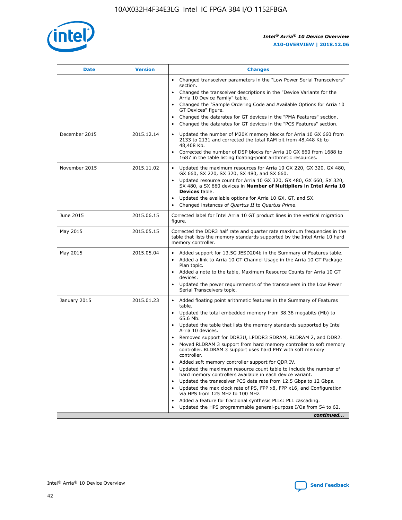

| <b>Date</b>   | <b>Version</b> | <b>Changes</b>                                                                                                                                                               |
|---------------|----------------|------------------------------------------------------------------------------------------------------------------------------------------------------------------------------|
|               |                | Changed transceiver parameters in the "Low Power Serial Transceivers"<br>$\bullet$<br>section.                                                                               |
|               |                | • Changed the transceiver descriptions in the "Device Variants for the<br>Arria 10 Device Family" table.                                                                     |
|               |                | • Changed the "Sample Ordering Code and Available Options for Arria 10<br>GT Devices" figure.                                                                                |
|               |                | Changed the datarates for GT devices in the "PMA Features" section.                                                                                                          |
|               |                | Changed the datarates for GT devices in the "PCS Features" section.<br>$\bullet$                                                                                             |
| December 2015 | 2015.12.14     | Updated the number of M20K memory blocks for Arria 10 GX 660 from<br>2133 to 2131 and corrected the total RAM bit from 48,448 Kb to<br>48,408 Kb.                            |
|               |                | Corrected the number of DSP blocks for Arria 10 GX 660 from 1688 to<br>$\bullet$<br>1687 in the table listing floating-point arithmetic resources.                           |
| November 2015 | 2015.11.02     | Updated the maximum resources for Arria 10 GX 220, GX 320, GX 480,<br>GX 660, SX 220, SX 320, SX 480, and SX 660.                                                            |
|               |                | Updated resource count for Arria 10 GX 320, GX 480, GX 660, SX 320,<br>SX 480, a SX 660 devices in Number of Multipliers in Intel Arria 10<br><b>Devices</b> table.          |
|               |                | Updated the available options for Arria 10 GX, GT, and SX.<br>$\bullet$                                                                                                      |
|               |                | Changed instances of Quartus II to Quartus Prime.<br>$\bullet$                                                                                                               |
| June 2015     | 2015.06.15     | Corrected label for Intel Arria 10 GT product lines in the vertical migration<br>figure.                                                                                     |
| May 2015      | 2015.05.15     | Corrected the DDR3 half rate and quarter rate maximum frequencies in the<br>table that lists the memory standards supported by the Intel Arria 10 hard<br>memory controller. |
| May 2015      | 2015.05.04     | • Added support for 13.5G JESD204b in the Summary of Features table.                                                                                                         |
|               |                | Added a link to Arria 10 GT Channel Usage in the Arria 10 GT Package<br>$\bullet$<br>Plan topic.                                                                             |
|               |                | • Added a note to the table, Maximum Resource Counts for Arria 10 GT<br>devices.                                                                                             |
|               |                | • Updated the power requirements of the transceivers in the Low Power<br>Serial Transceivers topic.                                                                          |
| January 2015  | 2015.01.23     | • Added floating point arithmetic features in the Summary of Features<br>table.                                                                                              |
|               |                | • Updated the total embedded memory from 38.38 megabits (Mb) to<br>65.6 Mb.                                                                                                  |
|               |                | • Updated the table that lists the memory standards supported by Intel<br>Arria 10 devices.                                                                                  |
|               |                | Removed support for DDR3U, LPDDR3 SDRAM, RLDRAM 2, and DDR2.                                                                                                                 |
|               |                | Moved RLDRAM 3 support from hard memory controller to soft memory<br>controller. RLDRAM 3 support uses hard PHY with soft memory<br>controller.                              |
|               |                | Added soft memory controller support for QDR IV.                                                                                                                             |
|               |                | Updated the maximum resource count table to include the number of<br>hard memory controllers available in each device variant.                                               |
|               |                | Updated the transceiver PCS data rate from 12.5 Gbps to 12 Gbps.                                                                                                             |
|               |                | Updated the max clock rate of PS, FPP x8, FPP x16, and Configuration<br>via HPS from 125 MHz to 100 MHz.                                                                     |
|               |                | Added a feature for fractional synthesis PLLs: PLL cascading.                                                                                                                |
|               |                | Updated the HPS programmable general-purpose I/Os from 54 to 62.<br>$\bullet$                                                                                                |
|               |                | continued                                                                                                                                                                    |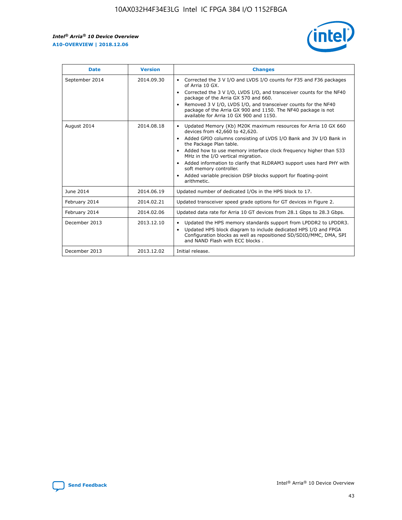r



| <b>Date</b>    | <b>Version</b> | <b>Changes</b>                                                                                                                                                                                                                                                                                                                                                                                                                                                                                                                                      |
|----------------|----------------|-----------------------------------------------------------------------------------------------------------------------------------------------------------------------------------------------------------------------------------------------------------------------------------------------------------------------------------------------------------------------------------------------------------------------------------------------------------------------------------------------------------------------------------------------------|
| September 2014 | 2014.09.30     | Corrected the 3 V I/O and LVDS I/O counts for F35 and F36 packages<br>$\bullet$<br>of Arria 10 GX.<br>Corrected the 3 V I/O, LVDS I/O, and transceiver counts for the NF40<br>$\bullet$<br>package of the Arria GX 570 and 660.<br>Removed 3 V I/O, LVDS I/O, and transceiver counts for the NF40<br>$\bullet$<br>package of the Arria GX 900 and 1150. The NF40 package is not<br>available for Arria 10 GX 900 and 1150.                                                                                                                          |
| August 2014    | 2014.08.18     | Updated Memory (Kb) M20K maximum resources for Arria 10 GX 660<br>devices from 42,660 to 42,620.<br>Added GPIO columns consisting of LVDS I/O Bank and 3V I/O Bank in<br>$\bullet$<br>the Package Plan table.<br>Added how to use memory interface clock frequency higher than 533<br>$\bullet$<br>MHz in the I/O vertical migration.<br>Added information to clarify that RLDRAM3 support uses hard PHY with<br>$\bullet$<br>soft memory controller.<br>Added variable precision DSP blocks support for floating-point<br>$\bullet$<br>arithmetic. |
| June 2014      | 2014.06.19     | Updated number of dedicated I/Os in the HPS block to 17.                                                                                                                                                                                                                                                                                                                                                                                                                                                                                            |
| February 2014  | 2014.02.21     | Updated transceiver speed grade options for GT devices in Figure 2.                                                                                                                                                                                                                                                                                                                                                                                                                                                                                 |
| February 2014  | 2014.02.06     | Updated data rate for Arria 10 GT devices from 28.1 Gbps to 28.3 Gbps.                                                                                                                                                                                                                                                                                                                                                                                                                                                                              |
| December 2013  | 2013.12.10     | Updated the HPS memory standards support from LPDDR2 to LPDDR3.<br>Updated HPS block diagram to include dedicated HPS I/O and FPGA<br>$\bullet$<br>Configuration blocks as well as repositioned SD/SDIO/MMC, DMA, SPI<br>and NAND Flash with ECC blocks.                                                                                                                                                                                                                                                                                            |
| December 2013  | 2013.12.02     | Initial release.                                                                                                                                                                                                                                                                                                                                                                                                                                                                                                                                    |